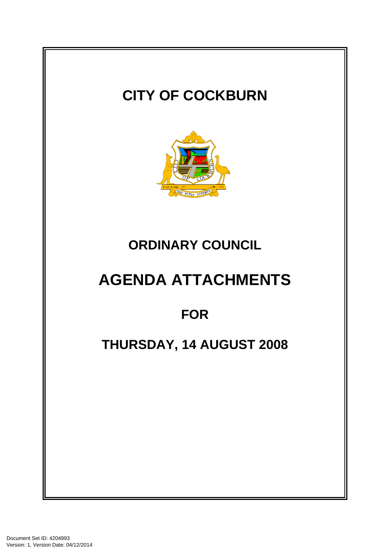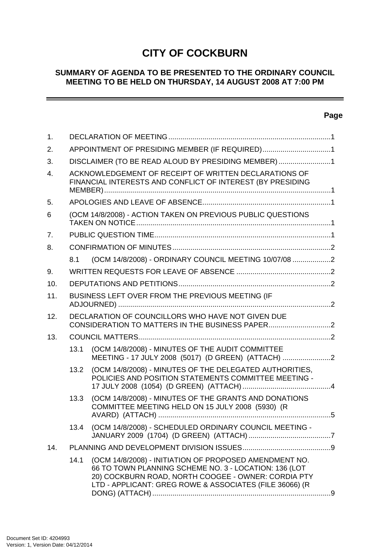# **CITY OF COCKBURN**

### **SUMMARY OF AGENDA TO BE PRESENTED TO THE ORDINARY COUNCIL MEETING TO BE HELD ON THURSDAY, 14 AUGUST 2008 AT 7:00 PM**

# **Page**

 $\sim$ 

| $\mathbf{1}$ . |                                                    |                                                                                                                                                                                                                                   |  |  |  |  |
|----------------|----------------------------------------------------|-----------------------------------------------------------------------------------------------------------------------------------------------------------------------------------------------------------------------------------|--|--|--|--|
| 2.             | APPOINTMENT OF PRESIDING MEMBER (IF REQUIRED)1     |                                                                                                                                                                                                                                   |  |  |  |  |
| 3.             | DISCLAIMER (TO BE READ ALOUD BY PRESIDING MEMBER)1 |                                                                                                                                                                                                                                   |  |  |  |  |
| $\mathbf{4}$ . |                                                    | ACKNOWLEDGEMENT OF RECEIPT OF WRITTEN DECLARATIONS OF<br>FINANCIAL INTERESTS AND CONFLICT OF INTEREST (BY PRESIDING                                                                                                               |  |  |  |  |
| 5.             |                                                    |                                                                                                                                                                                                                                   |  |  |  |  |
| 6              |                                                    | (OCM 14/8/2008) - ACTION TAKEN ON PREVIOUS PUBLIC QUESTIONS                                                                                                                                                                       |  |  |  |  |
| 7 <sub>1</sub> |                                                    |                                                                                                                                                                                                                                   |  |  |  |  |
| 8.             |                                                    |                                                                                                                                                                                                                                   |  |  |  |  |
|                | 8.1                                                | (OCM 14/8/2008) - ORDINARY COUNCIL MEETING 10/07/08 2                                                                                                                                                                             |  |  |  |  |
| 9.             |                                                    |                                                                                                                                                                                                                                   |  |  |  |  |
| 10.            |                                                    |                                                                                                                                                                                                                                   |  |  |  |  |
| 11.            | BUSINESS LEFT OVER FROM THE PREVIOUS MEETING (IF   |                                                                                                                                                                                                                                   |  |  |  |  |
| 12.            |                                                    | DECLARATION OF COUNCILLORS WHO HAVE NOT GIVEN DUE                                                                                                                                                                                 |  |  |  |  |
| 13.            |                                                    |                                                                                                                                                                                                                                   |  |  |  |  |
|                | 13.1                                               | (OCM 14/8/2008) - MINUTES OF THE AUDIT COMMITTEE<br>MEETING - 17 JULY 2008 (5017) (D GREEN) (ATTACH) 2                                                                                                                            |  |  |  |  |
|                | 13.2                                               | (OCM 14/8/2008) - MINUTES OF THE DELEGATED AUTHORITIES,<br>POLICIES AND POSITION STATEMENTS COMMITTEE MEETING -                                                                                                                   |  |  |  |  |
|                | 13.3                                               | (OCM 14/8/2008) - MINUTES OF THE GRANTS AND DONATIONS<br>COMMITTEE MEETING HELD ON 15 JULY 2008 (5930) (R                                                                                                                         |  |  |  |  |
|                | 13.4                                               | (OCM 14/8/2008) - SCHEDULED ORDINARY COUNCIL MEETING -                                                                                                                                                                            |  |  |  |  |
| 14.            |                                                    |                                                                                                                                                                                                                                   |  |  |  |  |
|                | 14.1                                               | (OCM 14/8/2008) - INITIATION OF PROPOSED AMENDMENT NO.<br>66 TO TOWN PLANNING SCHEME NO. 3 - LOCATION: 136 (LOT<br>20) COCKBURN ROAD, NORTH COOGEE - OWNER: CORDIA PTY<br>LTD - APPLICANT: GREG ROWE & ASSOCIATES (FILE 36066) (R |  |  |  |  |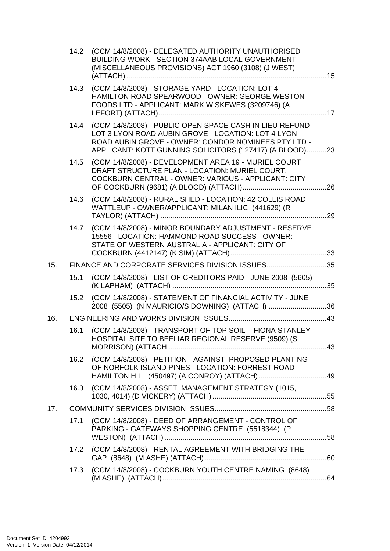|     | 14.2 | (OCM 14/8/2008) - DELEGATED AUTHORITY UNAUTHORISED<br>BUILDING WORK - SECTION 374AAB LOCAL GOVERNMENT<br>(MISCELLANEOUS PROVISIONS) ACT 1960 (3108) (J WEST)                                                                      |  |
|-----|------|-----------------------------------------------------------------------------------------------------------------------------------------------------------------------------------------------------------------------------------|--|
|     | 14.3 | (OCM 14/8/2008) - STORAGE YARD - LOCATION: LOT 4<br>HAMILTON ROAD SPEARWOOD - OWNER: GEORGE WESTON<br>FOODS LTD - APPLICANT: MARK W SKEWES (3209746) (A                                                                           |  |
|     | 14.4 | (OCM 14/8/2008) - PUBLIC OPEN SPACE CASH IN LIEU REFUND -<br>LOT 3 LYON ROAD AUBIN GROVE - LOCATION: LOT 4 LYON<br>ROAD AUBIN GROVE - OWNER: CONDOR NOMINEES PTY LTD -<br>APPLICANT: KOTT GUNNING SOLICITORS (127417) (A BLOOD)23 |  |
|     | 14.5 | (OCM 14/8/2008) - DEVELOPMENT AREA 19 - MURIEL COURT<br>DRAFT STRUCTURE PLAN - LOCATION: MURIEL COURT,<br>COCKBURN CENTRAL - OWNER: VARIOUS - APPLICANT: CITY                                                                     |  |
|     | 14.6 | (OCM 14/8/2008) - RURAL SHED - LOCATION: 42 COLLIS ROAD<br>WATTLEUP - OWNER/APPLICANT: MILAN ILIC (441629) (R                                                                                                                     |  |
|     |      | 14.7 (OCM 14/8/2008) - MINOR BOUNDARY ADJUSTMENT - RESERVE<br>15556 - LOCATION: HAMMOND ROAD SUCCESS - OWNER:<br>STATE OF WESTERN AUSTRALIA - APPLICANT: CITY OF                                                                  |  |
| 15. |      | FINANCE AND CORPORATE SERVICES DIVISION ISSUES35                                                                                                                                                                                  |  |
|     | 15.1 | (OCM 14/8/2008) - LIST OF CREDITORS PAID - JUNE 2008 (5605)                                                                                                                                                                       |  |
|     |      | 15.2 (OCM 14/8/2008) - STATEMENT OF FINANCIAL ACTIVITY - JUNE<br>2008 (5505) (N MAURICIO/S DOWNING) (ATTACH) 36                                                                                                                   |  |
| 16. |      |                                                                                                                                                                                                                                   |  |
|     | 16.1 | (OCM 14/8/2008) - TRANSPORT OF TOP SOIL - FIONA STANLEY<br>HOSPITAL SITE TO BEELIAR REGIONAL RESERVE (9509) (S                                                                                                                    |  |
|     | 16.2 | (OCM 14/8/2008) - PETITION - AGAINST PROPOSED PLANTING<br>OF NORFOLK ISLAND PINES - LOCATION: FORREST ROAD                                                                                                                        |  |
|     | 16.3 | (OCM 14/8/2008) - ASSET MANAGEMENT STRATEGY (1015,                                                                                                                                                                                |  |
| 17. |      |                                                                                                                                                                                                                                   |  |
|     | 17.1 | (OCM 14/8/2008) - DEED OF ARRANGEMENT - CONTROL OF<br>PARKING - GATEWAYS SHOPPING CENTRE (5518344) (P                                                                                                                             |  |
|     | 17.2 | (OCM 14/8/2008) - RENTAL AGREEMENT WITH BRIDGING THE                                                                                                                                                                              |  |
|     | 17.3 | (OCM 14/8/2008) - COCKBURN YOUTH CENTRE NAMING (8648)                                                                                                                                                                             |  |
|     |      |                                                                                                                                                                                                                                   |  |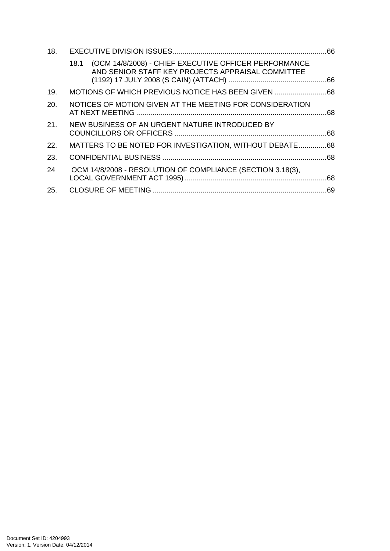| 18. |      |                                                                                                            |  |
|-----|------|------------------------------------------------------------------------------------------------------------|--|
|     | 18.1 | (OCM 14/8/2008) - CHIEF EXECUTIVE OFFICER PERFORMANCE<br>AND SENIOR STAFF KEY PROJECTS APPRAISAL COMMITTEE |  |
| 19. |      | MOTIONS OF WHICH PREVIOUS NOTICE HAS BEEN GIVEN                                                            |  |
| 20. |      | NOTICES OF MOTION GIVEN AT THE MEETING FOR CONSIDERATION                                                   |  |
| 21. |      | NEW BUSINESS OF AN URGENT NATURE INTRODUCED BY                                                             |  |
| 22. |      | MATTERS TO BE NOTED FOR INVESTIGATION, WITHOUT DEBATE68                                                    |  |
| 23. |      |                                                                                                            |  |
| 24  |      | OCM 14/8/2008 - RESOLUTION OF COMPLIANCE (SECTION 3.18(3),                                                 |  |
| 25. |      |                                                                                                            |  |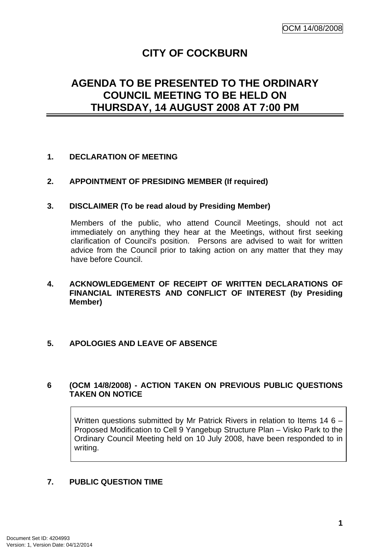# **CITY OF COCKBURN**

# <span id="page-4-0"></span>**AGENDA TO BE PRESENTED TO THE ORDINARY COUNCIL MEETING TO BE HELD ON THURSDAY, 14 AUGUST 2008 AT 7:00 PM**

### **1. DECLARATION OF MEETING**

### **2. APPOINTMENT OF PRESIDING MEMBER (If required)**

#### **3. DISCLAIMER (To be read aloud by Presiding Member)**

Members of the public, who attend Council Meetings, should not act immediately on anything they hear at the Meetings, without first seeking clarification of Council's position. Persons are advised to wait for written advice from the Council prior to taking action on any matter that they may have before Council.

### **4. ACKNOWLEDGEMENT OF RECEIPT OF WRITTEN DECLARATIONS OF FINANCIAL INTERESTS AND CONFLICT OF INTEREST (by Presiding Member)**

#### **5. APOLOGIES AND LEAVE OF ABSENCE**

#### **6 (OCM 14/8/2008) - ACTION TAKEN ON PREVIOUS PUBLIC QUESTIONS TAKEN ON NOTICE**

Written questions submitted by Mr Patrick Rivers in relation to Items 14 6 – Proposed Modification to Cell 9 Yangebup Structure Plan – Visko Park to the Ordinary Council Meeting held on 10 July 2008, have been responded to in writing.

### **7. PUBLIC QUESTION TIME**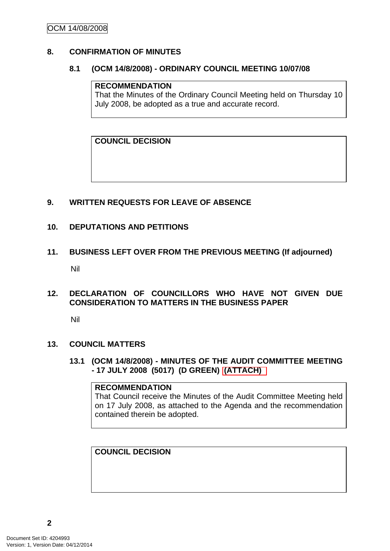### <span id="page-5-0"></span>**8. CONFIRMATION OF MINUTES**

#### **8.1 (OCM 14/8/2008) - ORDINARY COUNCIL MEETING 10/07/08**

#### **RECOMMENDATION**

That the Minutes of the Ordinary Council Meeting held on Thursday 10 July 2008, be adopted as a true and accurate record.

**COUNCIL DECISION** 

### **9. WRITTEN REQUESTS FOR LEAVE OF ABSENCE**

#### **10. DEPUTATIONS AND PETITIONS**

**11. BUSINESS LEFT OVER FROM THE PREVIOUS MEETING (If adjourned)**  Nil

#### **12. DECLARATION OF COUNCILLORS WHO HAVE NOT GIVEN DUE CONSIDERATION TO MATTERS IN THE BUSINESS PAPER**

Nil

#### **13. COUNCIL MATTERS**

**13.1 (OCM 14/8/2008) - MINUTES OF THE AUDIT COMMITTEE MEETING - 17 JULY 2008 (5017) (D GREEN) (ATTACH)** 

#### **RECOMMENDATION**

That Council receive the Minutes of the Audit Committee Meeting held on 17 July 2008, as attached to the Agenda and the recommendation contained therein be adopted.

**COUNCIL DECISION**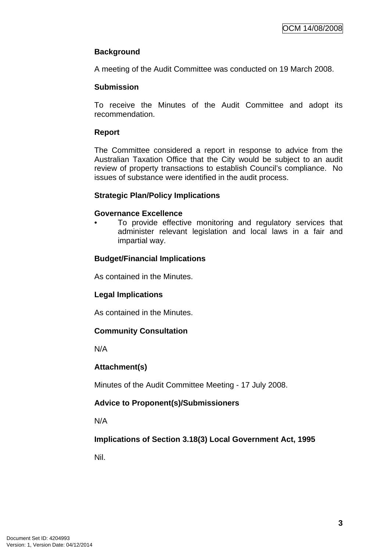## **Background**

A meeting of the Audit Committee was conducted on 19 March 2008.

### **Submission**

To receive the Minutes of the Audit Committee and adopt its recommendation.

### **Report**

The Committee considered a report in response to advice from the Australian Taxation Office that the City would be subject to an audit review of property transactions to establish Council's compliance. No issues of substance were identified in the audit process.

### **Strategic Plan/Policy Implications**

#### **Governance Excellence**

To provide effective monitoring and regulatory services that administer relevant legislation and local laws in a fair and impartial way.

### **Budget/Financial Implications**

As contained in the Minutes.

#### **Legal Implications**

As contained in the Minutes.

#### **Community Consultation**

N/A

#### **Attachment(s)**

Minutes of the Audit Committee Meeting - 17 July 2008.

### **Advice to Proponent(s)/Submissioners**

N/A

**Implications of Section 3.18(3) Local Government Act, 1995**

Nil.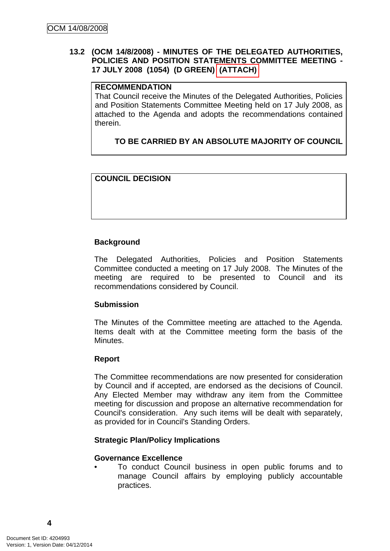### <span id="page-7-0"></span>**13.2 (OCM 14/8/2008) - MINUTES OF THE DELEGATED AUTHORITIES, POLICIES AND POSITION STATEMENTS COMMITTEE MEETING - 17 JULY 2008 (1054) (D GREEN) (ATTACH)**

### **RECOMMENDATION**

That Council receive the Minutes of the Delegated Authorities, Policies and Position Statements Committee Meeting held on 17 July 2008, as attached to the Agenda and adopts the recommendations contained therein.

# **TO BE CARRIED BY AN ABSOLUTE MAJORITY OF COUNCIL**

### **COUNCIL DECISION**

### **Background**

The Delegated Authorities, Policies and Position Statements Committee conducted a meeting on 17 July 2008. The Minutes of the meeting are required to be presented to Council and its recommendations considered by Council.

#### **Submission**

The Minutes of the Committee meeting are attached to the Agenda. Items dealt with at the Committee meeting form the basis of the Minutes.

#### **Report**

The Committee recommendations are now presented for consideration by Council and if accepted, are endorsed as the decisions of Council. Any Elected Member may withdraw any item from the Committee meeting for discussion and propose an alternative recommendation for Council's consideration. Any such items will be dealt with separately, as provided for in Council's Standing Orders.

#### **Strategic Plan/Policy Implications**

#### **Governance Excellence**

• To conduct Council business in open public forums and to manage Council affairs by employing publicly accountable practices.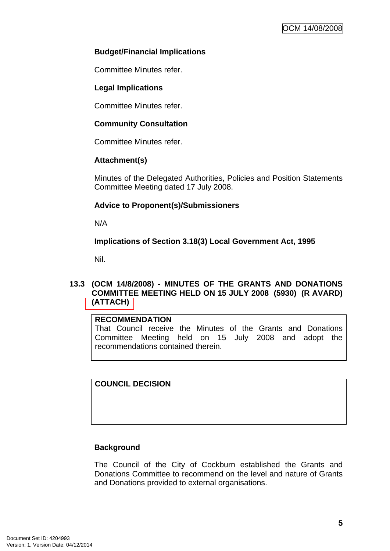### <span id="page-8-0"></span>**Budget/Financial Implications**

Committee Minutes refer.

### **Legal Implications**

Committee Minutes refer.

### **Community Consultation**

Committee Minutes refer.

#### **Attachment(s)**

Minutes of the Delegated Authorities, Policies and Position Statements Committee Meeting dated 17 July 2008.

### **Advice to Proponent(s)/Submissioners**

N/A

### **Implications of Section 3.18(3) Local Government Act, 1995**

Nil.

#### **13.3 (OCM 14/8/2008) - MINUTES OF THE GRANTS AND DONATIONS COMMITTEE MEETING HELD ON 15 JULY 2008 (5930) (R AVARD) (ATTACH)**

#### **RECOMMENDATION**

That Council receive the Minutes of the Grants and Donations Committee Meeting held on 15 July 2008 and adopt the recommendations contained therein.

**COUNCIL DECISION** 

### **Background**

The Council of the City of Cockburn established the Grants and Donations Committee to recommend on the level and nature of Grants and Donations provided to external organisations.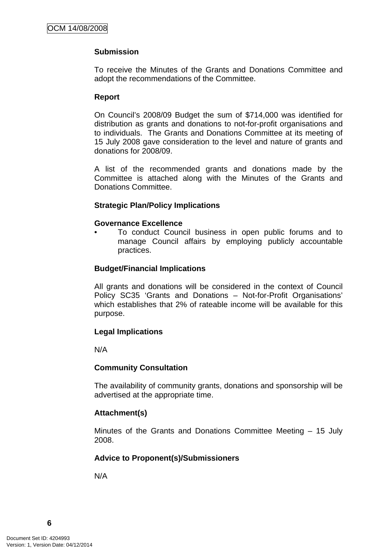### **Submission**

To receive the Minutes of the Grants and Donations Committee and adopt the recommendations of the Committee.

#### **Report**

On Council's 2008/09 Budget the sum of \$714,000 was identified for distribution as grants and donations to not-for-profit organisations and to individuals. The Grants and Donations Committee at its meeting of 15 July 2008 gave consideration to the level and nature of grants and donations for 2008/09.

A list of the recommended grants and donations made by the Committee is attached along with the Minutes of the Grants and Donations Committee.

#### **Strategic Plan/Policy Implications**

#### **Governance Excellence**

• To conduct Council business in open public forums and to manage Council affairs by employing publicly accountable practices.

#### **Budget/Financial Implications**

All grants and donations will be considered in the context of Council Policy SC35 'Grants and Donations – Not-for-Profit Organisations' which establishes that 2% of rateable income will be available for this purpose.

#### **Legal Implications**

N/A

#### **Community Consultation**

The availability of community grants, donations and sponsorship will be advertised at the appropriate time.

#### **Attachment(s)**

Minutes of the Grants and Donations Committee Meeting – 15 July 2008.

#### **Advice to Proponent(s)/Submissioners**

N/A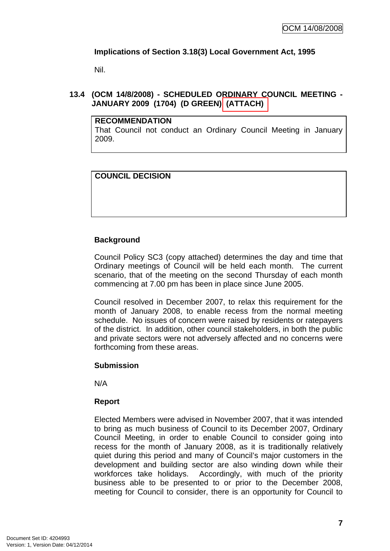### <span id="page-10-0"></span>**Implications of Section 3.18(3) Local Government Act, 1995**

Nil.

## **13.4 (OCM 14/8/2008) - SCHEDULED ORDINARY COUNCIL MEETING - JANUARY 2009 (1704) (D GREEN) (ATTACH)**

### **RECOMMENDATION**

That Council not conduct an Ordinary Council Meeting in January 2009.

# **COUNCIL DECISION**

# **Background**

Council Policy SC3 (copy attached) determines the day and time that Ordinary meetings of Council will be held each month. The current scenario, that of the meeting on the second Thursday of each month commencing at 7.00 pm has been in place since June 2005.

Council resolved in December 2007, to relax this requirement for the month of January 2008, to enable recess from the normal meeting schedule. No issues of concern were raised by residents or ratepayers of the district. In addition, other council stakeholders, in both the public and private sectors were not adversely affected and no concerns were forthcoming from these areas.

#### **Submission**

N/A

### **Report**

Elected Members were advised in November 2007, that it was intended to bring as much business of Council to its December 2007, Ordinary Council Meeting, in order to enable Council to consider going into recess for the month of January 2008, as it is traditionally relatively quiet during this period and many of Council's major customers in the development and building sector are also winding down while their workforces take holidays. Accordingly, with much of the priority business able to be presented to or prior to the December 2008, meeting for Council to consider, there is an opportunity for Council to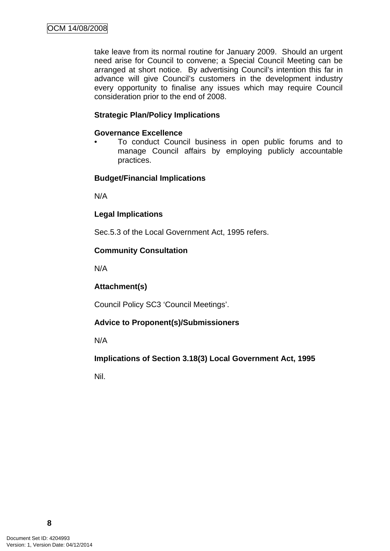take leave from its normal routine for January 2009. Should an urgent need arise for Council to convene; a Special Council Meeting can be arranged at short notice. By advertising Council's intention this far in advance will give Council's customers in the development industry every opportunity to finalise any issues which may require Council consideration prior to the end of 2008.

#### **Strategic Plan/Policy Implications**

#### **Governance Excellence**

• To conduct Council business in open public forums and to manage Council affairs by employing publicly accountable practices.

#### **Budget/Financial Implications**

N/A

#### **Legal Implications**

Sec.5.3 of the Local Government Act, 1995 refers.

#### **Community Consultation**

N/A

#### **Attachment(s)**

Council Policy SC3 'Council Meetings'.

#### **Advice to Proponent(s)/Submissioners**

N/A

#### **Implications of Section 3.18(3) Local Government Act, 1995**

Nil.

**8**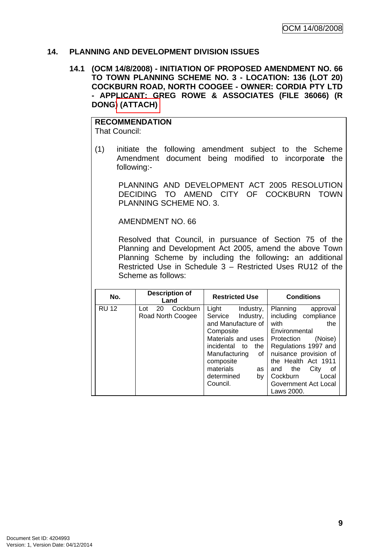### <span id="page-12-0"></span>**14. PLANNING AND DEVELOPMENT DIVISION ISSUES**

### **14.1 (OCM 14/8/2008) - INITIATION OF PROPOSED AMENDMENT NO. 66 TO TOWN PLANNING SCHEME NO. 3 - LOCATION: 136 (LOT 20) COCKBURN ROAD, NORTH COOGEE - OWNER: CORDIA PTY LTD - APPLICANT: GREG ROWE & ASSOCIATES (FILE 36066) (R DONG) (ATTACH)**

# **RECOMMENDATION**

That Council:

(1) initiate the following amendment subject to the Scheme Amendment document being modified to incorporat**e** the following:-

 PLANNING AND DEVELOPMENT ACT 2005 RESOLUTION DECIDING TO AMEND CITY OF COCKBURN TOWN PLANNING SCHEME NO. 3.

AMENDMENT NO. 66

Resolved that Council, in pursuance of Section 75 of the Planning and Development Act 2005, amend the above Town Planning Scheme by including the following**:** an additional Restricted Use in Schedule 3 – Restricted Uses RU12 of the Scheme as follows:

| No.          | <b>Description of</b><br>Land              | <b>Restricted Use</b>                                                                                                                                                                                              | <b>Conditions</b>                                                                                                                                                                                                                                                    |  |
|--------------|--------------------------------------------|--------------------------------------------------------------------------------------------------------------------------------------------------------------------------------------------------------------------|----------------------------------------------------------------------------------------------------------------------------------------------------------------------------------------------------------------------------------------------------------------------|--|
| <b>RU 12</b> | Cockburn<br>20<br>Lot<br>Road North Coogee | Light<br>Industry,<br>Industry,<br>Service<br>and Manufacture of<br>Composite<br>Materials and uses<br>incidental to<br>the<br>Manufacturing<br>οf<br>composite<br>materials<br>as<br>determined<br>by<br>Council. | Planning<br>approval<br>including compliance<br>with<br>the<br>Environmental<br>(Noise)<br>Protection<br>Regulations 1997 and<br>nuisance provision of<br>the Health Act 1911<br>City<br>the<br>οf<br>and<br>Cockburn<br>Local<br>Government Act Local<br>Laws 2000. |  |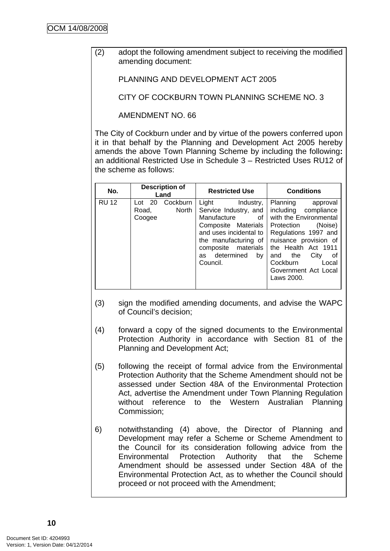(2) adopt the following amendment subject to receiving the modified amending document:

PLANNING AND DEVELOPMENT ACT 2005

CITY OF COCKBURN TOWN PLANNING SCHEME NO. 3

AMENDMENT NO. 66

The City of Cockburn under and by virtue of the powers conferred upon it in that behalf by the Planning and Development Act 2005 hereby amends the above Town Planning Scheme by including the following**:**  an additional Restricted Use in Schedule 3 – Restricted Uses RU12 of the scheme as follows:

| No.          | <b>Description of</b><br>Land |                   | <b>Restricted Use</b>                                                                                                                                                         |                 | <b>Conditions</b>                                           |                                                                                                                                                                                              |
|--------------|-------------------------------|-------------------|-------------------------------------------------------------------------------------------------------------------------------------------------------------------------------|-----------------|-------------------------------------------------------------|----------------------------------------------------------------------------------------------------------------------------------------------------------------------------------------------|
| <b>RU 12</b> | Lot 20<br>Road,<br>Coogee     | Cockburn<br>North | Light<br>Service Industry, and<br>Manufacture of<br>Composite Materials<br>and uses incidental to<br>the manufacturing of<br>composite materials<br>as determined<br>Council. | Industry,<br>bv | Planning<br>Protection<br>and the<br>Cockburn<br>Laws 2000. | approval<br>including compliance<br>with the Environmental<br>(Noise)<br>Regulations 1997 and<br>nuisance provision of<br>the Health Act 1911<br>City<br>оf<br>Local<br>Government Act Local |

- (3) sign the modified amending documents, and advise the WAPC of Council's decision;
- (4) forward a copy of the signed documents to the Environmental Protection Authority in accordance with Section 81 of the Planning and Development Act;
- (5) following the receipt of formal advice from the Environmental Protection Authority that the Scheme Amendment should not be assessed under Section 48A of the Environmental Protection Act, advertise the Amendment under Town Planning Regulation without reference to the Western Australian Planning Commission;
- 6) notwithstanding (4) above, the Director of Planning and Development may refer a Scheme or Scheme Amendment to the Council for its consideration following advice from the Environmental Protection Authority that the Scheme Amendment should be assessed under Section 48A of the Environmental Protection Act, as to whether the Council should proceed or not proceed with the Amendment;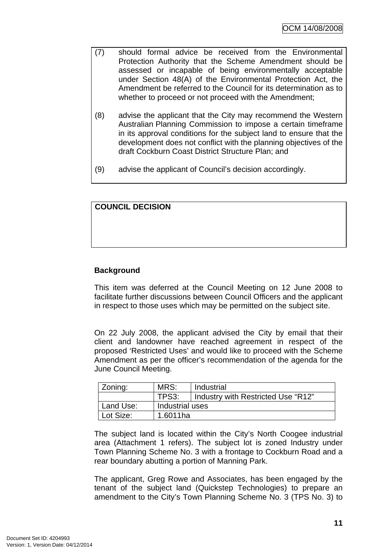- (7) should formal advice be received from the Environmental Protection Authority that the Scheme Amendment should be assessed or incapable of being environmentally acceptable under Section 48(A) of the Environmental Protection Act, the Amendment be referred to the Council for its determination as to whether to proceed or not proceed with the Amendment;
- (8) advise the applicant that the City may recommend the Western Australian Planning Commission to impose a certain timeframe in its approval conditions for the subject land to ensure that the development does not conflict with the planning objectives of the draft Cockburn Coast District Structure Plan; and
- (9) advise the applicant of Council's decision accordingly.

### **COUNCIL DECISION**

#### **Background**

This item was deferred at the Council Meeting on 12 June 2008 to facilitate further discussions between Council Officers and the applicant in respect to those uses which may be permitted on the subject site.

On 22 July 2008, the applicant advised the City by email that their client and landowner have reached agreement in respect of the proposed 'Restricted Uses' and would like to proceed with the Scheme Amendment as per the officer's recommendation of the agenda for the June Council Meeting.

| Zoning:   | MRS:<br>Industrial |                                    |
|-----------|--------------------|------------------------------------|
|           | TPS3:              | Industry with Restricted Use "R12" |
| Land Use: | Industrial uses    |                                    |
| Lot Size: | 1.6011ha           |                                    |

The subject land is located within the City's North Coogee industrial area (Attachment 1 refers). The subject lot is zoned Industry under Town Planning Scheme No. 3 with a frontage to Cockburn Road and a rear boundary abutting a portion of Manning Park.

The applicant, Greg Rowe and Associates, has been engaged by the tenant of the subject land (Quickstep Technologies) to prepare an amendment to the City's Town Planning Scheme No. 3 (TPS No. 3) to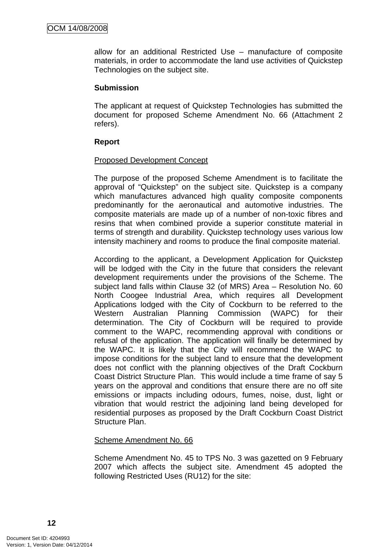allow for an additional Restricted Use – manufacture of composite materials, in order to accommodate the land use activities of Quickstep Technologies on the subject site.

#### **Submission**

The applicant at request of Quickstep Technologies has submitted the document for proposed Scheme Amendment No. 66 (Attachment 2 refers).

#### **Report**

#### Proposed Development Concept

The purpose of the proposed Scheme Amendment is to facilitate the approval of "Quickstep" on the subject site. Quickstep is a company which manufactures advanced high quality composite components predominantly for the aeronautical and automotive industries. The composite materials are made up of a number of non-toxic fibres and resins that when combined provide a superior constitute material in terms of strength and durability. Quickstep technology uses various low intensity machinery and rooms to produce the final composite material.

According to the applicant, a Development Application for Quickstep will be lodged with the City in the future that considers the relevant development requirements under the provisions of the Scheme. The subject land falls within Clause 32 (of MRS) Area – Resolution No. 60 North Coogee Industrial Area, which requires all Development Applications lodged with the City of Cockburn to be referred to the Western Australian Planning Commission (WAPC) for their determination. The City of Cockburn will be required to provide comment to the WAPC, recommending approval with conditions or refusal of the application. The application will finally be determined by the WAPC. It is likely that the City will recommend the WAPC to impose conditions for the subject land to ensure that the development does not conflict with the planning objectives of the Draft Cockburn Coast District Structure Plan. This would include a time frame of say 5 years on the approval and conditions that ensure there are no off site emissions or impacts including odours, fumes, noise, dust, light or vibration that would restrict the adjoining land being developed for residential purposes as proposed by the Draft Cockburn Coast District Structure Plan.

#### Scheme Amendment No. 66

Scheme Amendment No. 45 to TPS No. 3 was gazetted on 9 February 2007 which affects the subject site. Amendment 45 adopted the following Restricted Uses (RU12) for the site: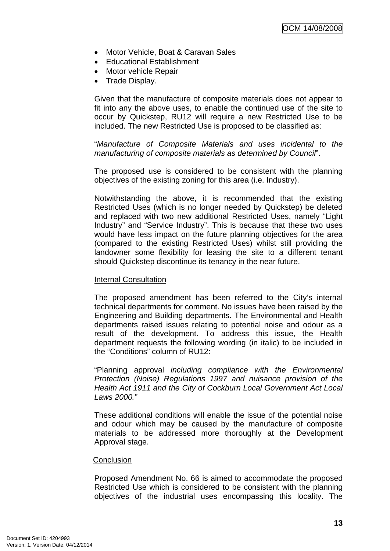- Motor Vehicle, Boat & Caravan Sales
- Educational Establishment
- Motor vehicle Repair
- Trade Display.

Given that the manufacture of composite materials does not appear to fit into any the above uses, to enable the continued use of the site to occur by Quickstep, RU12 will require a new Restricted Use to be included. The new Restricted Use is proposed to be classified as:

"*Manufacture of Composite Materials and uses incidental to the manufacturing of composite materials as determined by Council*".

The proposed use is considered to be consistent with the planning objectives of the existing zoning for this area (i.e. Industry).

Notwithstanding the above, it is recommended that the existing Restricted Uses (which is no longer needed by Quickstep) be deleted and replaced with two new additional Restricted Uses, namely "Light Industry" and "Service Industry". This is because that these two uses would have less impact on the future planning objectives for the area (compared to the existing Restricted Uses) whilst still providing the landowner some flexibility for leasing the site to a different tenant should Quickstep discontinue its tenancy in the near future.

#### Internal Consultation

The proposed amendment has been referred to the City's internal technical departments for comment. No issues have been raised by the Engineering and Building departments. The Environmental and Health departments raised issues relating to potential noise and odour as a result of the development. To address this issue, the Health department requests the following wording (in italic) to be included in the "Conditions" column of RU12:

"Planning approval *including compliance with the Environmental Protection (Noise) Regulations 1997 and nuisance provision of the Health Act 1911 and the City of Cockburn Local Government Act Local Laws 2000."* 

These additional conditions will enable the issue of the potential noise and odour which may be caused by the manufacture of composite materials to be addressed more thoroughly at the Development Approval stage.

#### **Conclusion**

Proposed Amendment No. 66 is aimed to accommodate the proposed Restricted Use which is considered to be consistent with the planning objectives of the industrial uses encompassing this locality. The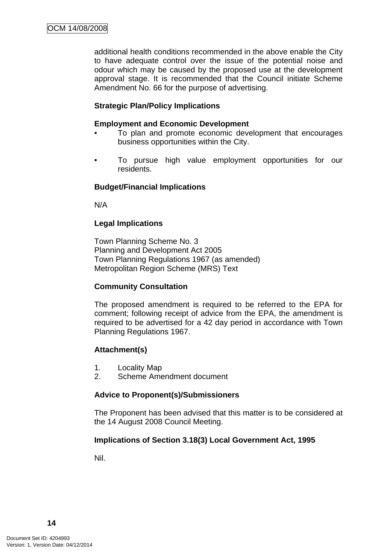additional health conditions recommended in the above enable the City to have adequate control over the issue of the potential noise and odour which may be caused by the proposed use at the development approval stage. It is recommended that the Council initiate Scheme Amendment No. 66 for the purpose of advertising.

### **Strategic Plan/Policy Implications**

#### **Employment and Economic Development**

- To plan and promote economic development that encourages business opportunities within the City.
- To pursue high value employment opportunities for our residents.

#### **Budget/Financial Implications**

N/A

#### **Legal Implications**

Town Planning Scheme No. 3 Planning and Development Act 2005 Town Planning Regulations 1967 (as amended) Metropolitan Region Scheme (MRS) Text

#### **Community Consultation**

The proposed amendment is required to be referred to the EPA for comment; following receipt of advice from the EPA, the amendment is required to be advertised for a 42 day period in accordance with Town Planning Regulations 1967.

#### **Attachment(s)**

- 1. Locality Map
- 2. Scheme Amendment document

#### **Advice to Proponent(s)/Submissioners**

The Proponent has been advised that this matter is to be considered at the 14 August 2008 Council Meeting.

#### **Implications of Section 3.18(3) Local Government Act, 1995**

Nil.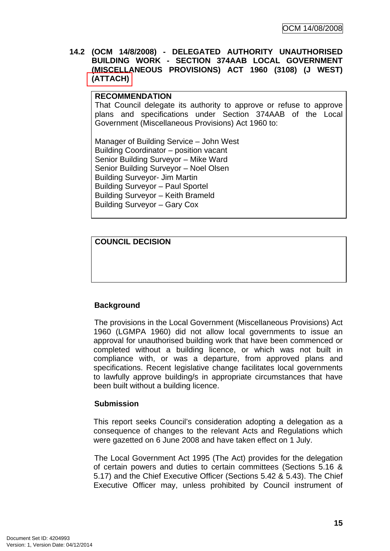<span id="page-18-0"></span>**14.2 (OCM 14/8/2008) - DELEGATED AUTHORITY UNAUTHORISED BUILDING WORK - SECTION 374AAB LOCAL GOVERNMENT (MISCELLANEOUS PROVISIONS) ACT 1960 (3108) (J WEST) (ATTACH)** 

#### **RECOMMENDATION**

That Council delegate its authority to approve or refuse to approve plans and specifications under Section 374AAB of the Local Government (Miscellaneous Provisions) Act 1960 to:

Manager of Building Service – John West Building Coordinator – position vacant Senior Building Surveyor – Mike Ward Senior Building Surveyor – Noel Olsen Building Surveyor- Jim Martin Building Surveyor – Paul Sportel Building Surveyor – Keith Brameld Building Surveyor – Gary Cox

### **COUNCIL DECISION**

### **Background**

The provisions in the Local Government (Miscellaneous Provisions) Act 1960 (LGMPA 1960) did not allow local governments to issue an approval for unauthorised building work that have been commenced or completed without a building licence, or which was not built in compliance with, or was a departure, from approved plans and specifications. Recent legislative change facilitates local governments to lawfully approve building/s in appropriate circumstances that have been built without a building licence.

#### **Submission**

This report seeks Council's consideration adopting a delegation as a consequence of changes to the relevant Acts and Regulations which were gazetted on 6 June 2008 and have taken effect on 1 July.

The Local Government Act 1995 (The Act) provides for the delegation of certain powers and duties to certain committees (Sections 5.16 & 5.17) and the Chief Executive Officer (Sections 5.42 & 5.43). The Chief Executive Officer may, unless prohibited by Council instrument of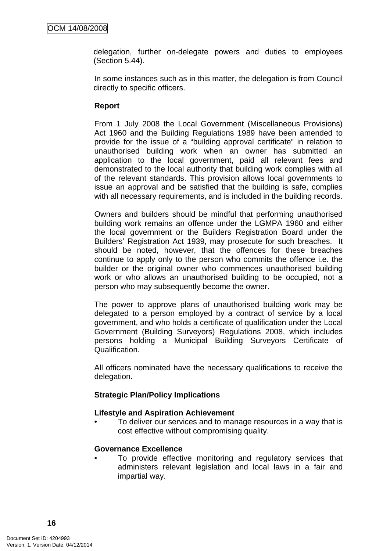delegation, further on-delegate powers and duties to employees (Section 5.44).

In some instances such as in this matter, the delegation is from Council directly to specific officers.

#### **Report**

From 1 July 2008 the Local Government (Miscellaneous Provisions) Act 1960 and the Building Regulations 1989 have been amended to provide for the issue of a "building approval certificate" in relation to unauthorised building work when an owner has submitted an application to the local government, paid all relevant fees and demonstrated to the local authority that building work complies with all of the relevant standards. This provision allows local governments to issue an approval and be satisfied that the building is safe, complies with all necessary requirements, and is included in the building records.

Owners and builders should be mindful that performing unauthorised building work remains an offence under the LGMPA 1960 and either the local government or the Builders Registration Board under the Builders' Registration Act 1939, may prosecute for such breaches. It should be noted, however, that the offences for these breaches continue to apply only to the person who commits the offence i.e. the builder or the original owner who commences unauthorised building work or who allows an unauthorised building to be occupied, not a person who may subsequently become the owner.

The power to approve plans of unauthorised building work may be delegated to a person employed by a contract of service by a local government, and who holds a certificate of qualification under the Local Government (Building Surveyors) Regulations 2008, which includes persons holding a Municipal Building Surveyors Certificate of Qualification.

All officers nominated have the necessary qualifications to receive the delegation.

#### **Strategic Plan/Policy Implications**

#### **Lifestyle and Aspiration Achievement**

• To deliver our services and to manage resources in a way that is cost effective without compromising quality.

#### **Governance Excellence**

To provide effective monitoring and regulatory services that administers relevant legislation and local laws in a fair and impartial way.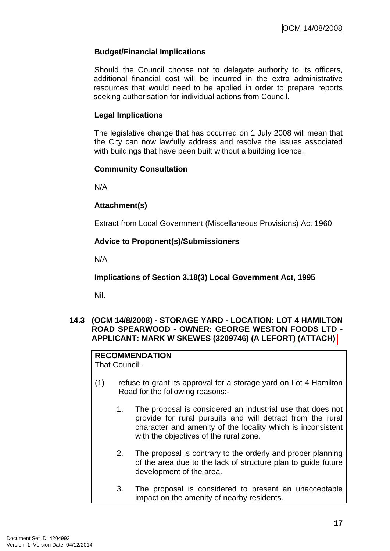### <span id="page-20-0"></span>**Budget/Financial Implications**

Should the Council choose not to delegate authority to its officers, additional financial cost will be incurred in the extra administrative resources that would need to be applied in order to prepare reports seeking authorisation for individual actions from Council.

#### **Legal Implications**

The legislative change that has occurred on 1 July 2008 will mean that the City can now lawfully address and resolve the issues associated with buildings that have been built without a building licence.

#### **Community Consultation**

N/A

#### **Attachment(s)**

Extract from Local Government (Miscellaneous Provisions) Act 1960.

#### **Advice to Proponent(s)/Submissioners**

N/A

**Implications of Section 3.18(3) Local Government Act, 1995**

Nil.

#### **14.3 (OCM 14/8/2008) - STORAGE YARD - LOCATION: LOT 4 HAMILTON ROAD SPEARWOOD - OWNER: GEORGE WESTON FOODS LTD - APPLICANT: MARK W SKEWES (3209746) (A LEFORT) (ATTACH)**

# **RECOMMENDATION**

That Council:-

- (1) refuse to grant its approval for a storage yard on Lot 4 Hamilton Road for the following reasons:-
	- 1. The proposal is considered an industrial use that does not provide for rural pursuits and will detract from the rural character and amenity of the locality which is inconsistent with the objectives of the rural zone.
	- 2. The proposal is contrary to the orderly and proper planning of the area due to the lack of structure plan to guide future development of the area.
	- 3. The proposal is considered to present an unacceptable impact on the amenity of nearby residents.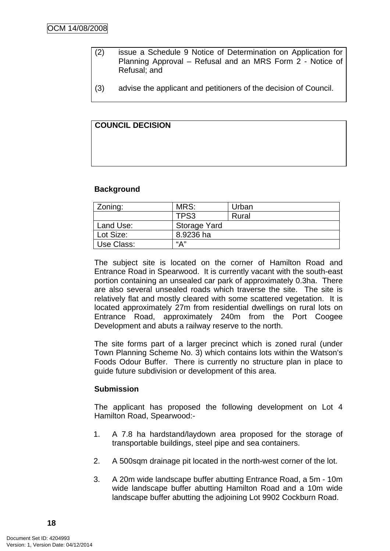- (2) issue a Schedule 9 Notice of Determination on Application for Planning Approval – Refusal and an MRS Form 2 - Notice of Refusal; and
- (3) advise the applicant and petitioners of the decision of Council.

## **COUNCIL DECISION**

#### **Background**

| Zoning:    | MRS:                | Urban |  |
|------------|---------------------|-------|--|
|            | TPS3                | Rural |  |
| Land Use:  | <b>Storage Yard</b> |       |  |
| Lot Size:  | 8.9236 ha           |       |  |
| Use Class: | "А"                 |       |  |

The subject site is located on the corner of Hamilton Road and Entrance Road in Spearwood. It is currently vacant with the south-east portion containing an unsealed car park of approximately 0.3ha. There are also several unsealed roads which traverse the site. The site is relatively flat and mostly cleared with some scattered vegetation. It is located approximately 27m from residential dwellings on rural lots on Entrance Road, approximately 240m from the Port Coogee Development and abuts a railway reserve to the north.

The site forms part of a larger precinct which is zoned rural (under Town Planning Scheme No. 3) which contains lots within the Watson's Foods Odour Buffer. There is currently no structure plan in place to guide future subdivision or development of this area.

#### **Submission**

The applicant has proposed the following development on Lot 4 Hamilton Road, Spearwood:-

- 1. A 7.8 ha hardstand/laydown area proposed for the storage of transportable buildings, steel pipe and sea containers.
- 2. A 500sqm drainage pit located in the north-west corner of the lot.
- 3. A 20m wide landscape buffer abutting Entrance Road, a 5m 10m wide landscape buffer abutting Hamilton Road and a 10m wide landscape buffer abutting the adjoining Lot 9902 Cockburn Road.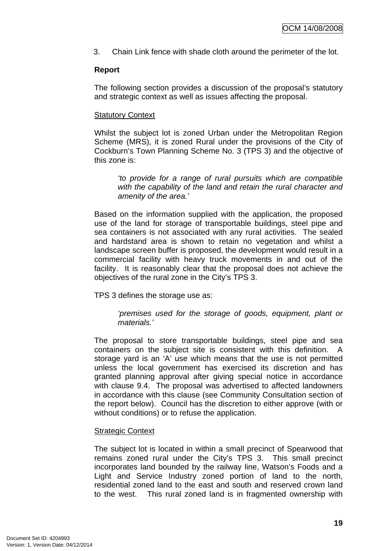3. Chain Link fence with shade cloth around the perimeter of the lot.

#### **Report**

The following section provides a discussion of the proposal's statutory and strategic context as well as issues affecting the proposal.

#### Statutory Context

Whilst the subject lot is zoned Urban under the Metropolitan Region Scheme (MRS), it is zoned Rural under the provisions of the City of Cockburn's Town Planning Scheme No. 3 (TPS 3) and the objective of this zone is:

*'to provide for a range of rural pursuits which are compatible with the capability of the land and retain the rural character and amenity of the area.'* 

Based on the information supplied with the application, the proposed use of the land for storage of transportable buildings, steel pipe and sea containers is not associated with any rural activities. The sealed and hardstand area is shown to retain no vegetation and whilst a landscape screen buffer is proposed, the development would result in a commercial facility with heavy truck movements in and out of the facility. It is reasonably clear that the proposal does not achieve the objectives of the rural zone in the City's TPS 3.

TPS 3 defines the storage use as:

*'premises used for the storage of goods, equipment, plant or materials.'* 

The proposal to store transportable buildings, steel pipe and sea containers on the subject site is consistent with this definition. A storage yard is an 'A' use which means that the use is not permitted unless the local government has exercised its discretion and has granted planning approval after giving special notice in accordance with clause 9.4. The proposal was advertised to affected landowners in accordance with this clause (see Community Consultation section of the report below). Council has the discretion to either approve (with or without conditions) or to refuse the application.

#### Strategic Context

The subject lot is located in within a small precinct of Spearwood that remains zoned rural under the City's TPS 3. This small precinct incorporates land bounded by the railway line, Watson's Foods and a Light and Service Industry zoned portion of land to the north, residential zoned land to the east and south and reserved crown land to the west. This rural zoned land is in fragmented ownership with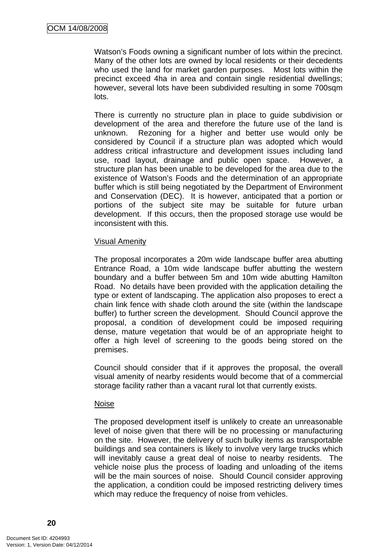Watson's Foods owning a significant number of lots within the precinct. Many of the other lots are owned by local residents or their decedents who used the land for market garden purposes. Most lots within the precinct exceed 4ha in area and contain single residential dwellings; however, several lots have been subdivided resulting in some 700sqm lots.

There is currently no structure plan in place to guide subdivision or development of the area and therefore the future use of the land is unknown. Rezoning for a higher and better use would only be considered by Council if a structure plan was adopted which would address critical infrastructure and development issues including land use, road layout, drainage and public open space. However, a structure plan has been unable to be developed for the area due to the existence of Watson's Foods and the determination of an appropriate buffer which is still being negotiated by the Department of Environment and Conservation (DEC). It is however, anticipated that a portion or portions of the subject site may be suitable for future urban development. If this occurs, then the proposed storage use would be inconsistent with this.

#### Visual Amenity

The proposal incorporates a 20m wide landscape buffer area abutting Entrance Road, a 10m wide landscape buffer abutting the western boundary and a buffer between 5m and 10m wide abutting Hamilton Road. No details have been provided with the application detailing the type or extent of landscaping. The application also proposes to erect a chain link fence with shade cloth around the site (within the landscape buffer) to further screen the development. Should Council approve the proposal, a condition of development could be imposed requiring dense, mature vegetation that would be of an appropriate height to offer a high level of screening to the goods being stored on the premises.

Council should consider that if it approves the proposal, the overall visual amenity of nearby residents would become that of a commercial storage facility rather than a vacant rural lot that currently exists.

#### Noise

The proposed development itself is unlikely to create an unreasonable level of noise given that there will be no processing or manufacturing on the site. However, the delivery of such bulky items as transportable buildings and sea containers is likely to involve very large trucks which will inevitably cause a great deal of noise to nearby residents. The vehicle noise plus the process of loading and unloading of the items will be the main sources of noise. Should Council consider approving the application, a condition could be imposed restricting delivery times which may reduce the frequency of noise from vehicles.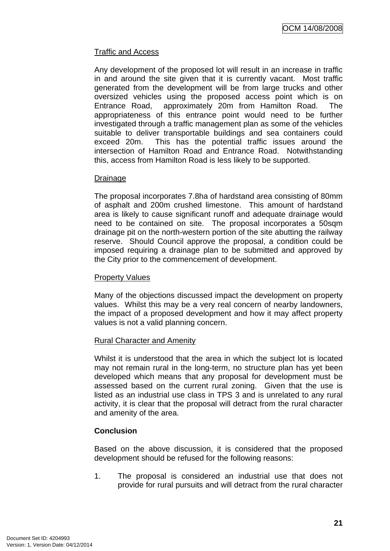### Traffic and Access

Any development of the proposed lot will result in an increase in traffic in and around the site given that it is currently vacant. Most traffic generated from the development will be from large trucks and other oversized vehicles using the proposed access point which is on Entrance Road, approximately 20m from Hamilton Road. The appropriateness of this entrance point would need to be further investigated through a traffic management plan as some of the vehicles suitable to deliver transportable buildings and sea containers could exceed 20m. This has the potential traffic issues around the intersection of Hamilton Road and Entrance Road. Notwithstanding this, access from Hamilton Road is less likely to be supported.

#### Drainage

The proposal incorporates 7.8ha of hardstand area consisting of 80mm of asphalt and 200m crushed limestone. This amount of hardstand area is likely to cause significant runoff and adequate drainage would need to be contained on site. The proposal incorporates a 50sqm drainage pit on the north-western portion of the site abutting the railway reserve. Should Council approve the proposal, a condition could be imposed requiring a drainage plan to be submitted and approved by the City prior to the commencement of development.

#### Property Values

Many of the objections discussed impact the development on property values. Whilst this may be a very real concern of nearby landowners, the impact of a proposed development and how it may affect property values is not a valid planning concern.

#### Rural Character and Amenity

Whilst it is understood that the area in which the subject lot is located may not remain rural in the long-term, no structure plan has yet been developed which means that any proposal for development must be assessed based on the current rural zoning. Given that the use is listed as an industrial use class in TPS 3 and is unrelated to any rural activity, it is clear that the proposal will detract from the rural character and amenity of the area.

#### **Conclusion**

Based on the above discussion, it is considered that the proposed development should be refused for the following reasons:

1. The proposal is considered an industrial use that does not provide for rural pursuits and will detract from the rural character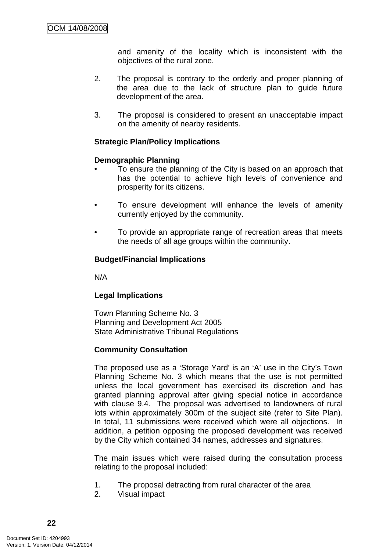and amenity of the locality which is inconsistent with the objectives of the rural zone.

- 2. The proposal is contrary to the orderly and proper planning of the area due to the lack of structure plan to guide future development of the area.
- 3. The proposal is considered to present an unacceptable impact on the amenity of nearby residents.

### **Strategic Plan/Policy Implications**

#### **Demographic Planning**

- To ensure the planning of the City is based on an approach that has the potential to achieve high levels of convenience and prosperity for its citizens.
- To ensure development will enhance the levels of amenity currently enjoyed by the community.
- To provide an appropriate range of recreation areas that meets the needs of all age groups within the community.

### **Budget/Financial Implications**

N/A

### **Legal Implications**

Town Planning Scheme No. 3 Planning and Development Act 2005 State Administrative Tribunal Regulations

### **Community Consultation**

The proposed use as a 'Storage Yard' is an 'A' use in the City's Town Planning Scheme No. 3 which means that the use is not permitted unless the local government has exercised its discretion and has granted planning approval after giving special notice in accordance with clause 9.4. The proposal was advertised to landowners of rural lots within approximately 300m of the subject site (refer to Site Plan). In total, 11 submissions were received which were all objections. In addition, a petition opposing the proposed development was received by the City which contained 34 names, addresses and signatures.

The main issues which were raised during the consultation process relating to the proposal included:

- 1. The proposal detracting from rural character of the area
- 2. Visual impact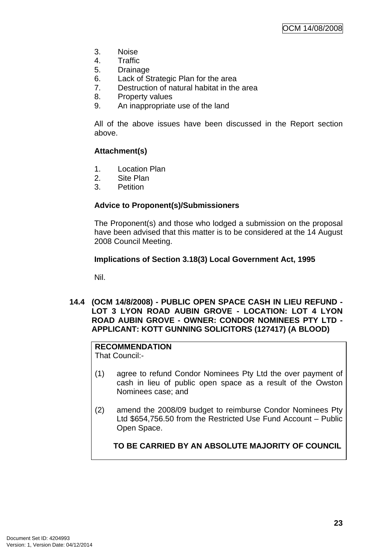- <span id="page-26-0"></span>3. Noise
- 4. Traffic
- 5. Drainage
- 6. Lack of Strategic Plan for the area
- 7. Destruction of natural habitat in the area
- 8. Property values
- 9. An inappropriate use of the land

All of the above issues have been discussed in the Report section above.

### **Attachment(s)**

- 1. Location Plan
- 2. Site Plan
- 3. Petition

#### **Advice to Proponent(s)/Submissioners**

The Proponent(s) and those who lodged a submission on the proposal have been advised that this matter is to be considered at the 14 August 2008 Council Meeting.

#### **Implications of Section 3.18(3) Local Government Act, 1995**

Nil.

**14.4 (OCM 14/8/2008) - PUBLIC OPEN SPACE CASH IN LIEU REFUND - LOT 3 LYON ROAD AUBIN GROVE - LOCATION: LOT 4 LYON ROAD AUBIN GROVE - OWNER: CONDOR NOMINEES PTY LTD - APPLICANT: KOTT GUNNING SOLICITORS (127417) (A BLOOD)** 

### **RECOMMENDATION**

That Council:-

- (1) agree to refund Condor Nominees Pty Ltd the over payment of cash in lieu of public open space as a result of the Owston Nominees case; and
- (2) amend the 2008/09 budget to reimburse Condor Nominees Pty Ltd \$654,756.50 from the Restricted Use Fund Account – Public Open Space.

**TO BE CARRIED BY AN ABSOLUTE MAJORITY OF COUNCIL**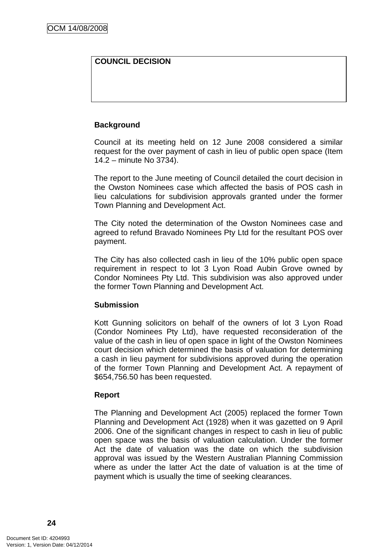## **COUNCIL DECISION**

### **Background**

Council at its meeting held on 12 June 2008 considered a similar request for the over payment of cash in lieu of public open space (Item 14.2 – minute No 3734).

The report to the June meeting of Council detailed the court decision in the Owston Nominees case which affected the basis of POS cash in lieu calculations for subdivision approvals granted under the former Town Planning and Development Act.

The City noted the determination of the Owston Nominees case and agreed to refund Bravado Nominees Pty Ltd for the resultant POS over payment.

The City has also collected cash in lieu of the 10% public open space requirement in respect to lot 3 Lyon Road Aubin Grove owned by Condor Nominees Pty Ltd. This subdivision was also approved under the former Town Planning and Development Act.

#### **Submission**

Kott Gunning solicitors on behalf of the owners of lot 3 Lyon Road (Condor Nominees Pty Ltd), have requested reconsideration of the value of the cash in lieu of open space in light of the Owston Nominees court decision which determined the basis of valuation for determining a cash in lieu payment for subdivisions approved during the operation of the former Town Planning and Development Act. A repayment of \$654,756.50 has been requested.

#### **Report**

The Planning and Development Act (2005) replaced the former Town Planning and Development Act (1928) when it was gazetted on 9 April 2006. One of the significant changes in respect to cash in lieu of public open space was the basis of valuation calculation. Under the former Act the date of valuation was the date on which the subdivision approval was issued by the Western Australian Planning Commission where as under the latter Act the date of valuation is at the time of payment which is usually the time of seeking clearances.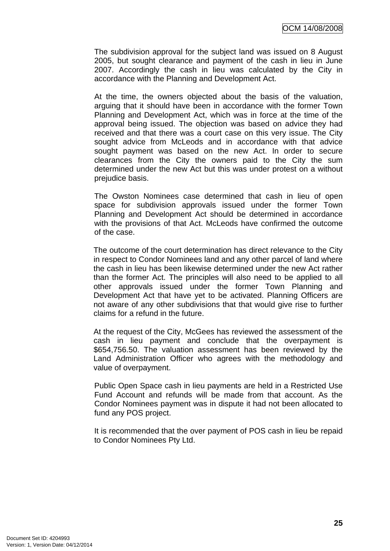The subdivision approval for the subject land was issued on 8 August 2005, but sought clearance and payment of the cash in lieu in June 2007. Accordingly the cash in lieu was calculated by the City in accordance with the Planning and Development Act.

At the time, the owners objected about the basis of the valuation, arguing that it should have been in accordance with the former Town Planning and Development Act, which was in force at the time of the approval being issued. The objection was based on advice they had received and that there was a court case on this very issue. The City sought advice from McLeods and in accordance with that advice sought payment was based on the new Act. In order to secure clearances from the City the owners paid to the City the sum determined under the new Act but this was under protest on a without prejudice basis.

The Owston Nominees case determined that cash in lieu of open space for subdivision approvals issued under the former Town Planning and Development Act should be determined in accordance with the provisions of that Act. McLeods have confirmed the outcome of the case.

The outcome of the court determination has direct relevance to the City in respect to Condor Nominees land and any other parcel of land where the cash in lieu has been likewise determined under the new Act rather than the former Act. The principles will also need to be applied to all other approvals issued under the former Town Planning and Development Act that have yet to be activated. Planning Officers are not aware of any other subdivisions that that would give rise to further claims for a refund in the future.

At the request of the City, McGees has reviewed the assessment of the cash in lieu payment and conclude that the overpayment is \$654,756.50. The valuation assessment has been reviewed by the Land Administration Officer who agrees with the methodology and value of overpayment.

Public Open Space cash in lieu payments are held in a Restricted Use Fund Account and refunds will be made from that account. As the Condor Nominees payment was in dispute it had not been allocated to fund any POS project.

It is recommended that the over payment of POS cash in lieu be repaid to Condor Nominees Pty Ltd.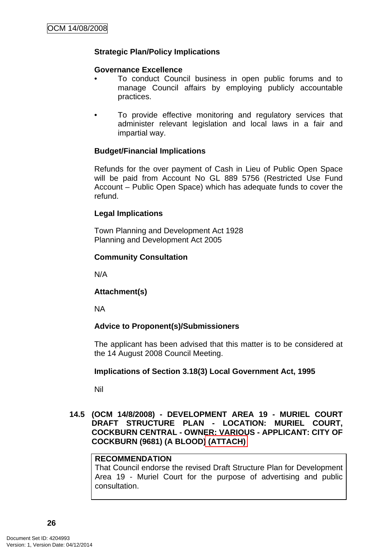### <span id="page-29-0"></span>**Strategic Plan/Policy Implications**

#### **Governance Excellence**

- To conduct Council business in open public forums and to manage Council affairs by employing publicly accountable practices.
- To provide effective monitoring and regulatory services that administer relevant legislation and local laws in a fair and impartial way.

#### **Budget/Financial Implications**

Refunds for the over payment of Cash in Lieu of Public Open Space will be paid from Account No GL 889 5756 (Restricted Use Fund Account – Public Open Space) which has adequate funds to cover the refund.

### **Legal Implications**

Town Planning and Development Act 1928 Planning and Development Act 2005

### **Community Consultation**

N/A

### **Attachment(s)**

NA

### **Advice to Proponent(s)/Submissioners**

The applicant has been advised that this matter is to be considered at the 14 August 2008 Council Meeting.

#### **Implications of Section 3.18(3) Local Government Act, 1995**

Nil

#### **14.5 (OCM 14/8/2008) - DEVELOPMENT AREA 19 - MURIEL COURT DRAFT STRUCTURE PLAN - LOCATION: MURIEL COURT, COCKBURN CENTRAL - OWNER: VARIOUS - APPLICANT: CITY OF COCKBURN (9681) (A BLOOD) (ATTACH)**

### **RECOMMENDATION**

That Council endorse the revised Draft Structure Plan for Development Area 19 - Muriel Court for the purpose of advertising and public consultation.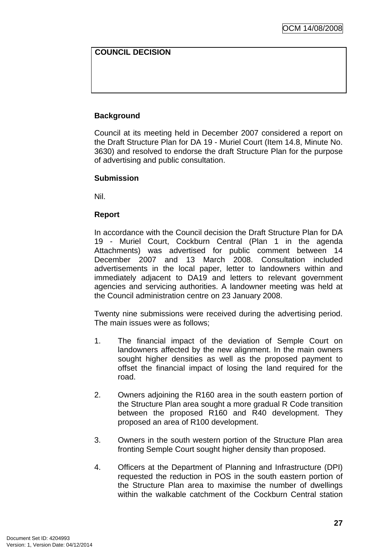## **COUNCIL DECISION**

### **Background**

Council at its meeting held in December 2007 considered a report on the Draft Structure Plan for DA 19 - Muriel Court (Item 14.8, Minute No. 3630) and resolved to endorse the draft Structure Plan for the purpose of advertising and public consultation.

#### **Submission**

Nil.

### **Report**

In accordance with the Council decision the Draft Structure Plan for DA 19 - Muriel Court, Cockburn Central (Plan 1 in the agenda Attachments) was advertised for public comment between 14 December 2007 and 13 March 2008. Consultation included advertisements in the local paper, letter to landowners within and immediately adjacent to DA19 and letters to relevant government agencies and servicing authorities. A landowner meeting was held at the Council administration centre on 23 January 2008.

Twenty nine submissions were received during the advertising period. The main issues were as follows;

- 1. The financial impact of the deviation of Semple Court on landowners affected by the new alignment. In the main owners sought higher densities as well as the proposed payment to offset the financial impact of losing the land required for the road.
- 2. Owners adjoining the R160 area in the south eastern portion of the Structure Plan area sought a more gradual R Code transition between the proposed R160 and R40 development. They proposed an area of R100 development.
- 3. Owners in the south western portion of the Structure Plan area fronting Semple Court sought higher density than proposed.
- 4. Officers at the Department of Planning and Infrastructure (DPI) requested the reduction in POS in the south eastern portion of the Structure Plan area to maximise the number of dwellings within the walkable catchment of the Cockburn Central station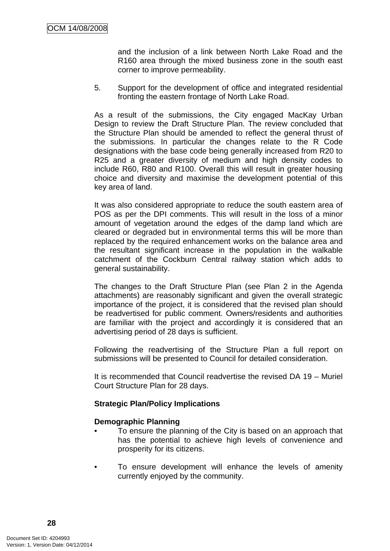and the inclusion of a link between North Lake Road and the R160 area through the mixed business zone in the south east corner to improve permeability.

5. Support for the development of office and integrated residential fronting the eastern frontage of North Lake Road.

As a result of the submissions, the City engaged MacKay Urban Design to review the Draft Structure Plan. The review concluded that the Structure Plan should be amended to reflect the general thrust of the submissions. In particular the changes relate to the R Code designations with the base code being generally increased from R20 to R25 and a greater diversity of medium and high density codes to include R60, R80 and R100. Overall this will result in greater housing choice and diversity and maximise the development potential of this key area of land.

It was also considered appropriate to reduce the south eastern area of POS as per the DPI comments. This will result in the loss of a minor amount of vegetation around the edges of the damp land which are cleared or degraded but in environmental terms this will be more than replaced by the required enhancement works on the balance area and the resultant significant increase in the population in the walkable catchment of the Cockburn Central railway station which adds to general sustainability.

The changes to the Draft Structure Plan (see Plan 2 in the Agenda attachments) are reasonably significant and given the overall strategic importance of the project, it is considered that the revised plan should be readvertised for public comment. Owners/residents and authorities are familiar with the project and accordingly it is considered that an advertising period of 28 days is sufficient.

Following the readvertising of the Structure Plan a full report on submissions will be presented to Council for detailed consideration.

It is recommended that Council readvertise the revised DA 19 – Muriel Court Structure Plan for 28 days.

### **Strategic Plan/Policy Implications**

### **Demographic Planning**

- To ensure the planning of the City is based on an approach that has the potential to achieve high levels of convenience and prosperity for its citizens.
- To ensure development will enhance the levels of amenity currently enjoyed by the community.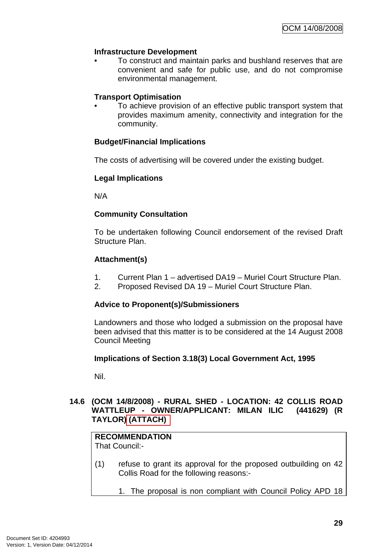### <span id="page-32-0"></span>**Infrastructure Development**

• To construct and maintain parks and bushland reserves that are convenient and safe for public use, and do not compromise environmental management.

#### **Transport Optimisation**

• To achieve provision of an effective public transport system that provides maximum amenity, connectivity and integration for the community.

### **Budget/Financial Implications**

The costs of advertising will be covered under the existing budget.

#### **Legal Implications**

N/A

### **Community Consultation**

To be undertaken following Council endorsement of the revised Draft Structure Plan.

### **Attachment(s)**

- 1. Current Plan 1 advertised DA19 Muriel Court Structure Plan.
- 2. Proposed Revised DA 19 Muriel Court Structure Plan.

#### **Advice to Proponent(s)/Submissioners**

Landowners and those who lodged a submission on the proposal have been advised that this matter is to be considered at the 14 August 2008 Council Meeting

#### **Implications of Section 3.18(3) Local Government Act, 1995**

Nil.

#### **14.6 (OCM 14/8/2008) - RURAL SHED - LOCATION: 42 COLLIS ROAD WATTLEUP - OWNER/APPLICANT: MILAN ILIC (441629) (R TAYLOR) (ATTACH)**

#### **RECOMMENDATION** That Council:-

(1) refuse to grant its approval for the proposed outbuilding on 42 Collis Road for the following reasons:-

1. The proposal is non compliant with Council Policy APD 18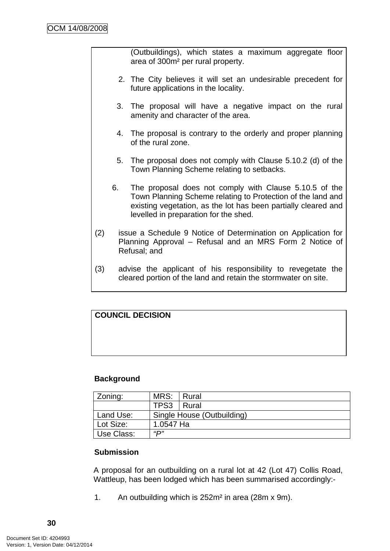(Outbuildings), which states a maximum aggregate floor area of 300m² per rural property.

- 2. The City believes it will set an undesirable precedent for future applications in the locality.
- 3. The proposal will have a negative impact on the rural amenity and character of the area.
- 4. The proposal is contrary to the orderly and proper planning of the rural zone.
- 5. The proposal does not comply with Clause 5.10.2 (d) of the Town Planning Scheme relating to setbacks.
- 6. The proposal does not comply with Clause 5.10.5 of the Town Planning Scheme relating to Protection of the land and existing vegetation, as the lot has been partially cleared and levelled in preparation for the shed.
- (2) issue a Schedule 9 Notice of Determination on Application for Planning Approval – Refusal and an MRS Form 2 Notice of Refusal; and
- (3) advise the applicant of his responsibility to revegetate the cleared portion of the land and retain the stormwater on site.

# **COUNCIL DECISION**

### **Background**

| Zoning:           | MRS: Rural                 |  |  |
|-------------------|----------------------------|--|--|
|                   | TPS3   Rural               |  |  |
| Land Use:         | Single House (Outbuilding) |  |  |
| Lot Size:         | 1.0547 Ha                  |  |  |
| "D"<br>Use Class: |                            |  |  |

### **Submission**

A proposal for an outbuilding on a rural lot at 42 (Lot 47) Collis Road, Wattleup, has been lodged which has been summarised accordingly:-

1. An outbuilding which is 252m² in area (28m x 9m).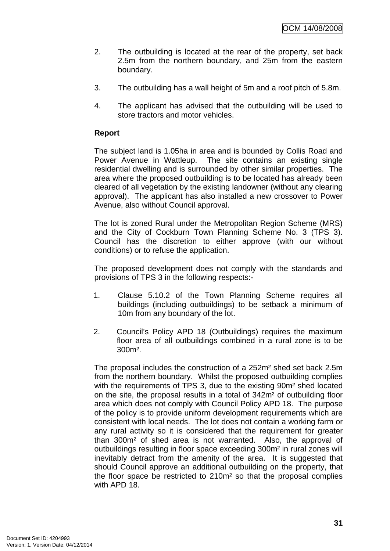- 2. The outbuilding is located at the rear of the property, set back 2.5m from the northern boundary, and 25m from the eastern boundary.
- 3. The outbuilding has a wall height of 5m and a roof pitch of 5.8m.
- 4. The applicant has advised that the outbuilding will be used to store tractors and motor vehicles.

### **Report**

The subject land is 1.05ha in area and is bounded by Collis Road and Power Avenue in Wattleup. The site contains an existing single residential dwelling and is surrounded by other similar properties. The area where the proposed outbuilding is to be located has already been cleared of all vegetation by the existing landowner (without any clearing approval). The applicant has also installed a new crossover to Power Avenue, also without Council approval.

The lot is zoned Rural under the Metropolitan Region Scheme (MRS) and the City of Cockburn Town Planning Scheme No. 3 (TPS 3). Council has the discretion to either approve (with our without conditions) or to refuse the application.

The proposed development does not comply with the standards and provisions of TPS 3 in the following respects:-

- 1. Clause 5.10.2 of the Town Planning Scheme requires all buildings (including outbuildings) to be setback a minimum of 10m from any boundary of the lot.
- 2. Council's Policy APD 18 (Outbuildings) requires the maximum floor area of all outbuildings combined in a rural zone is to be 300m².

The proposal includes the construction of a 252m² shed set back 2.5m from the northern boundary. Whilst the proposed outbuilding complies with the requirements of TPS 3, due to the existing 90m² shed located on the site, the proposal results in a total of 342m² of outbuilding floor area which does not comply with Council Policy APD 18. The purpose of the policy is to provide uniform development requirements which are consistent with local needs. The lot does not contain a working farm or any rural activity so it is considered that the requirement for greater than 300m² of shed area is not warranted. Also, the approval of outbuildings resulting in floor space exceeding 300m² in rural zones will inevitably detract from the amenity of the area. It is suggested that should Council approve an additional outbuilding on the property, that the floor space be restricted to 210m² so that the proposal complies with APD 18.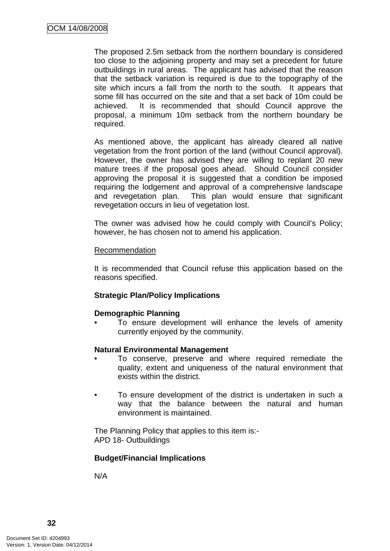The proposed 2.5m setback from the northern boundary is considered too close to the adjoining property and may set a precedent for future outbuildings in rural areas. The applicant has advised that the reason that the setback variation is required is due to the topography of the site which incurs a fall from the north to the south. It appears that some fill has occurred on the site and that a set back of 10m could be achieved. It is recommended that should Council approve the proposal, a minimum 10m setback from the northern boundary be required.

As mentioned above, the applicant has already cleared all native vegetation from the front portion of the land (without Council approval). However, the owner has advised they are willing to replant 20 new mature trees if the proposal goes ahead. Should Council consider approving the proposal it is suggested that a condition be imposed requiring the lodgement and approval of a comprehensive landscape and revegetation plan. This plan would ensure that significant revegetation occurs in lieu of vegetation lost.

The owner was advised how he could comply with Council's Policy; however, he has chosen not to amend his application.

#### **Recommendation**

It is recommended that Council refuse this application based on the reasons specified.

### **Strategic Plan/Policy Implications**

#### **Demographic Planning**

• To ensure development will enhance the levels of amenity currently enjoyed by the community.

#### **Natural Environmental Management**

- To conserve, preserve and where required remediate the quality, extent and uniqueness of the natural environment that exists within the district.
- To ensure development of the district is undertaken in such a way that the balance between the natural and human environment is maintained.

The Planning Policy that applies to this item is:- APD 18- Outbuildings

#### **Budget/Financial Implications**

N/A

**32**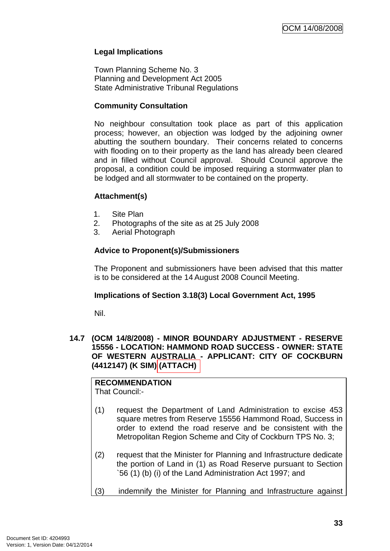# **Legal Implications**

Town Planning Scheme No. 3 Planning and Development Act 2005 State Administrative Tribunal Regulations

### **Community Consultation**

No neighbour consultation took place as part of this application process; however, an objection was lodged by the adjoining owner abutting the southern boundary. Their concerns related to concerns with flooding on to their property as the land has already been cleared and in filled without Council approval. Should Council approve the proposal, a condition could be imposed requiring a stormwater plan to be lodged and all stormwater to be contained on the property.

### **Attachment(s)**

- 1. Site Plan
- 2. Photographs of the site as at 25 July 2008
- 3. Aerial Photograph

### **Advice to Proponent(s)/Submissioners**

The Proponent and submissioners have been advised that this matter is to be considered at the 14 August 2008 Council Meeting.

### **Implications of Section 3.18(3) Local Government Act, 1995**

Nil.

#### **14.7 (OCM 14/8/2008) - MINOR BOUNDARY ADJUSTMENT - RESERVE 15556 - LOCATION: HAMMOND ROAD SUCCESS - OWNER: STATE OF WESTERN AUSTRALIA - APPLICANT: CITY OF COCKBURN (4412147) (K SIM) (ATTACH)**

#### **RECOMMENDATION** That Council:-

- (1) request the Department of Land Administration to excise 453 square metres from Reserve 15556 Hammond Road, Success in order to extend the road reserve and be consistent with the Metropolitan Region Scheme and City of Cockburn TPS No. 3;
- (2) request that the Minister for Planning and Infrastructure dedicate the portion of Land in (1) as Road Reserve pursuant to Section `56 (1) (b) (i) of the Land Administration Act 1997; and
- (3) indemnify the Minister for Planning and Infrastructure against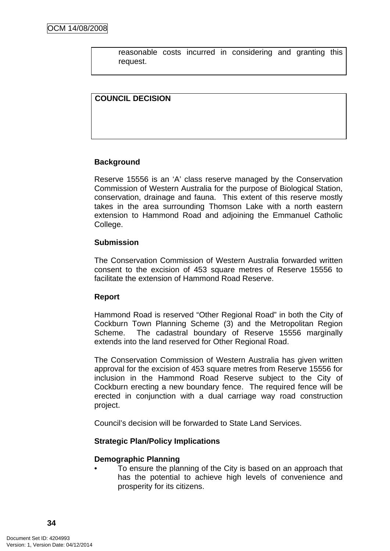reasonable costs incurred in considering and granting this request.

## **COUNCIL DECISION**

## **Background**

Reserve 15556 is an 'A' class reserve managed by the Conservation Commission of Western Australia for the purpose of Biological Station, conservation, drainage and fauna. This extent of this reserve mostly takes in the area surrounding Thomson Lake with a north eastern extension to Hammond Road and adjoining the Emmanuel Catholic College.

### **Submission**

The Conservation Commission of Western Australia forwarded written consent to the excision of 453 square metres of Reserve 15556 to facilitate the extension of Hammond Road Reserve.

### **Report**

Hammond Road is reserved "Other Regional Road" in both the City of Cockburn Town Planning Scheme (3) and the Metropolitan Region Scheme. The cadastral boundary of Reserve 15556 marginally extends into the land reserved for Other Regional Road.

The Conservation Commission of Western Australia has given written approval for the excision of 453 square metres from Reserve 15556 for inclusion in the Hammond Road Reserve subject to the City of Cockburn erecting a new boundary fence. The required fence will be erected in conjunction with a dual carriage way road construction project.

Council's decision will be forwarded to State Land Services.

### **Strategic Plan/Policy Implications**

#### **Demographic Planning**

• To ensure the planning of the City is based on an approach that has the potential to achieve high levels of convenience and prosperity for its citizens.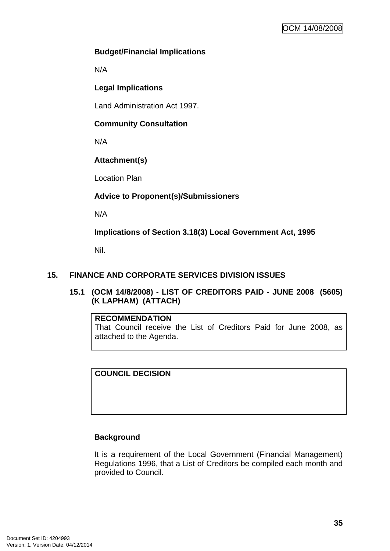## **Budget/Financial Implications**

N/A

# **Legal Implications**

Land Administration Act 1997.

# **Community Consultation**

N/A

# **Attachment(s)**

Location Plan

# **Advice to Proponent(s)/Submissioners**

N/A

**Implications of Section 3.18(3) Local Government Act, 1995**

Nil.

## **15. FINANCE AND CORPORATE SERVICES DIVISION ISSUES**

**15.1 (OCM 14/8/2008) - LIST OF CREDITORS PAID - JUNE 2008 (5605) (K LAPHAM) (ATTACH)** 

### **RECOMMENDATION**

That Council receive the List of Creditors Paid for June 2008, as attached to the Agenda.

**COUNCIL DECISION** 

# **Background**

It is a requirement of the Local Government (Financial Management) Regulations 1996, that a List of Creditors be compiled each month and provided to Council.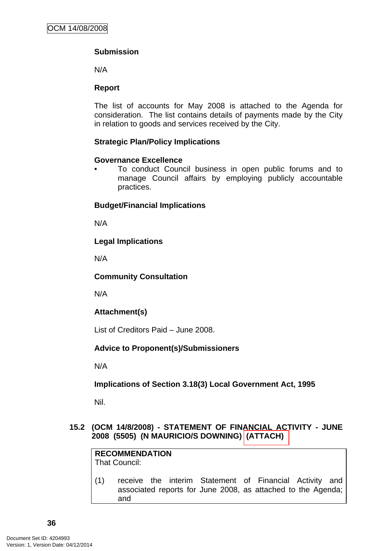# **Submission**

N/A

## **Report**

The list of accounts for May 2008 is attached to the Agenda for consideration. The list contains details of payments made by the City in relation to goods and services received by the City.

## **Strategic Plan/Policy Implications**

### **Governance Excellence**

• To conduct Council business in open public forums and to manage Council affairs by employing publicly accountable practices.

## **Budget/Financial Implications**

N/A

## **Legal Implications**

N/A

### **Community Consultation**

N/A

# **Attachment(s)**

List of Creditors Paid – June 2008.

# **Advice to Proponent(s)/Submissioners**

N/A

# **Implications of Section 3.18(3) Local Government Act, 1995**

Nil.

### **15.2 (OCM 14/8/2008) - STATEMENT OF FINANCIAL ACTIVITY - JUNE 2008 (5505) (N MAURICIO/S DOWNING) (ATTACH)**

**RECOMMENDATION** That Council:

(1) receive the interim Statement of Financial Activity and associated reports for June 2008, as attached to the Agenda; and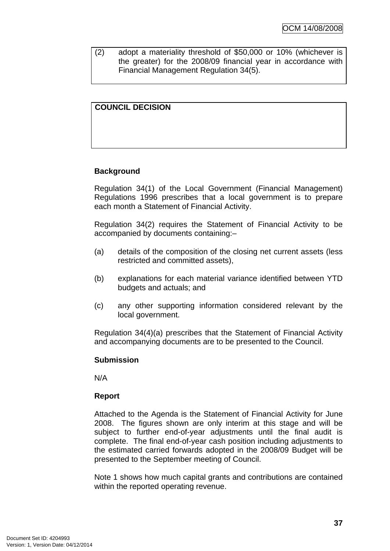(2) adopt a materiality threshold of \$50,000 or 10% (whichever is the greater) for the 2008/09 financial year in accordance with Financial Management Regulation 34(5).

# **COUNCIL DECISION**

### **Background**

Regulation 34(1) of the Local Government (Financial Management) Regulations 1996 prescribes that a local government is to prepare each month a Statement of Financial Activity.

Regulation 34(2) requires the Statement of Financial Activity to be accompanied by documents containing:–

- (a) details of the composition of the closing net current assets (less restricted and committed assets),
- (b) explanations for each material variance identified between YTD budgets and actuals; and
- (c) any other supporting information considered relevant by the local government.

Regulation 34(4)(a) prescribes that the Statement of Financial Activity and accompanying documents are to be presented to the Council.

#### **Submission**

N/A

### **Report**

Attached to the Agenda is the Statement of Financial Activity for June 2008. The figures shown are only interim at this stage and will be subject to further end-of-year adjustments until the final audit is complete. The final end-of-year cash position including adjustments to the estimated carried forwards adopted in the 2008/09 Budget will be presented to the September meeting of Council.

Note 1 shows how much capital grants and contributions are contained within the reported operating revenue.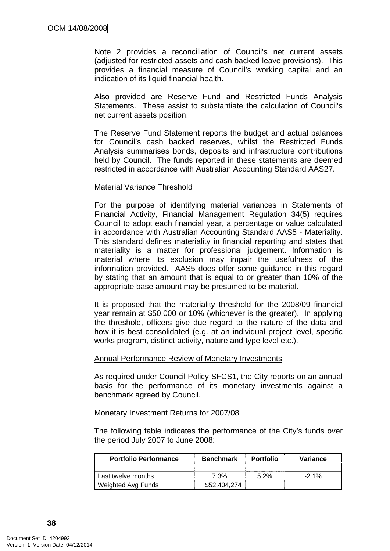Note 2 provides a reconciliation of Council's net current assets (adjusted for restricted assets and cash backed leave provisions). This provides a financial measure of Council's working capital and an indication of its liquid financial health.

Also provided are Reserve Fund and Restricted Funds Analysis Statements. These assist to substantiate the calculation of Council's net current assets position.

The Reserve Fund Statement reports the budget and actual balances for Council's cash backed reserves, whilst the Restricted Funds Analysis summarises bonds, deposits and infrastructure contributions held by Council. The funds reported in these statements are deemed restricted in accordance with Australian Accounting Standard AAS27.

#### Material Variance Threshold

For the purpose of identifying material variances in Statements of Financial Activity, Financial Management Regulation 34(5) requires Council to adopt each financial year, a percentage or value calculated in accordance with Australian Accounting Standard AAS5 - Materiality. This standard defines materiality in financial reporting and states that materiality is a matter for professional judgement. Information is material where its exclusion may impair the usefulness of the information provided. AAS5 does offer some guidance in this regard by stating that an amount that is equal to or greater than 10% of the appropriate base amount may be presumed to be material.

It is proposed that the materiality threshold for the 2008/09 financial year remain at \$50,000 or 10% (whichever is the greater). In applying the threshold, officers give due regard to the nature of the data and how it is best consolidated (e.g. at an individual project level, specific works program, distinct activity, nature and type level etc.).

#### Annual Performance Review of Monetary Investments

As required under Council Policy SFCS1, the City reports on an annual basis for the performance of its monetary investments against a benchmark agreed by Council.

#### Monetary Investment Returns for 2007/08

The following table indicates the performance of the City's funds over the period July 2007 to June 2008:

| <b>Portfolio Performance</b> | <b>Benchmark</b> | <b>Portfolio</b> | Variance |
|------------------------------|------------------|------------------|----------|
|                              |                  |                  |          |
| Last twelve months           | 7.3%             | $5.2\%$          | $-2.1\%$ |
| Weighted Avg Funds           | \$52,404,274     |                  |          |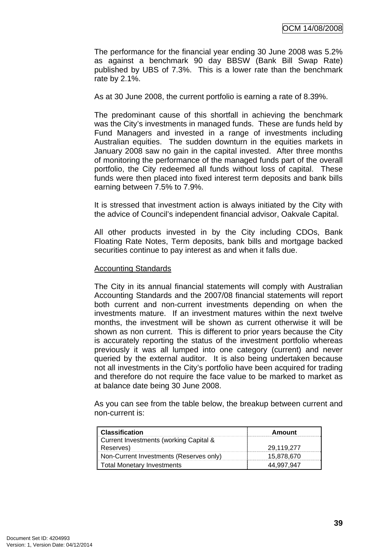The performance for the financial year ending 30 June 2008 was 5.2% as against a benchmark 90 day BBSW (Bank Bill Swap Rate) published by UBS of 7.3%. This is a lower rate than the benchmark rate by 2.1%.

As at 30 June 2008, the current portfolio is earning a rate of 8.39%.

The predominant cause of this shortfall in achieving the benchmark was the City's investments in managed funds. These are funds held by Fund Managers and invested in a range of investments including Australian equities. The sudden downturn in the equities markets in January 2008 saw no gain in the capital invested. After three months of monitoring the performance of the managed funds part of the overall portfolio, the City redeemed all funds without loss of capital. These funds were then placed into fixed interest term deposits and bank bills earning between 7.5% to 7.9%.

It is stressed that investment action is always initiated by the City with the advice of Council's independent financial advisor, Oakvale Capital.

All other products invested in by the City including CDOs, Bank Floating Rate Notes, Term deposits, bank bills and mortgage backed securities continue to pay interest as and when it falls due.

#### Accounting Standards

The City in its annual financial statements will comply with Australian Accounting Standards and the 2007/08 financial statements will report both current and non-current investments depending on when the investments mature. If an investment matures within the next twelve months, the investment will be shown as current otherwise it will be shown as non current. This is different to prior years because the City is accurately reporting the status of the investment portfolio whereas previously it was all lumped into one category (current) and never queried by the external auditor. It is also being undertaken because not all investments in the City's portfolio have been acquired for trading and therefore do not require the face value to be marked to market as at balance date being 30 June 2008.

As you can see from the table below, the breakup between current and non-current is:

| <b>Classification</b>                   | Amount     |
|-----------------------------------------|------------|
| Current Investments (working Capital &  |            |
| Reserves)                               | 29.119.277 |
| Non-Current Investments (Reserves only) | 15.878.670 |
| <b>Total Monetary Investments</b>       |            |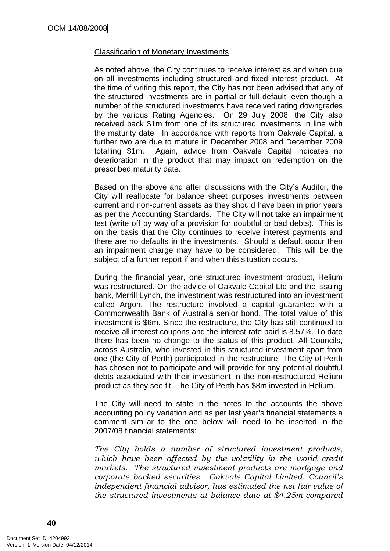### Classification of Monetary Investments

As noted above, the City continues to receive interest as and when due on all investments including structured and fixed interest product. At the time of writing this report, the City has not been advised that any of the structured investments are in partial or full default, even though a number of the structured investments have received rating downgrades by the various Rating Agencies. On 29 July 2008, the City also received back \$1m from one of its structured investments in line with the maturity date. In accordance with reports from Oakvale Capital, a further two are due to mature in December 2008 and December 2009 totalling \$1m. Again, advice from Oakvale Capital indicates no deterioration in the product that may impact on redemption on the prescribed maturity date.

Based on the above and after discussions with the City's Auditor, the City will reallocate for balance sheet purposes investments between current and non-current assets as they should have been in prior years as per the Accounting Standards. The City will not take an impairment test (write off by way of a provision for doubtful or bad debts). This is on the basis that the City continues to receive interest payments and there are no defaults in the investments. Should a default occur then an impairment charge may have to be considered. This will be the subject of a further report if and when this situation occurs.

During the financial year, one structured investment product, Helium was restructured. On the advice of Oakvale Capital Ltd and the issuing bank, Merrill Lynch, the investment was restructured into an investment called Argon. The restructure involved a capital guarantee with a Commonwealth Bank of Australia senior bond. The total value of this investment is \$6m. Since the restructure, the City has still continued to receive all interest coupons and the interest rate paid is 8.57%. To date there has been no change to the status of this product. All Councils, across Australia, who invested in this structured investment apart from one (the City of Perth) participated in the restructure. The City of Perth has chosen not to participate and will provide for any potential doubtful debts associated with their investment in the non-restructured Helium product as they see fit. The City of Perth has \$8m invested in Helium.

The City will need to state in the notes to the accounts the above accounting policy variation and as per last year's financial statements a comment similar to the one below will need to be inserted in the 2007/08 financial statements:

*The City holds a number of structured investment products,*  which have been affected by the volatility in the world credit *markets. The structured investment products are mortgage and corporate backed securities. Oakvale Capital Limited, Council's independent financial advisor, has estimated the net fair value of the structured investments at balance date at \$4.25m compared*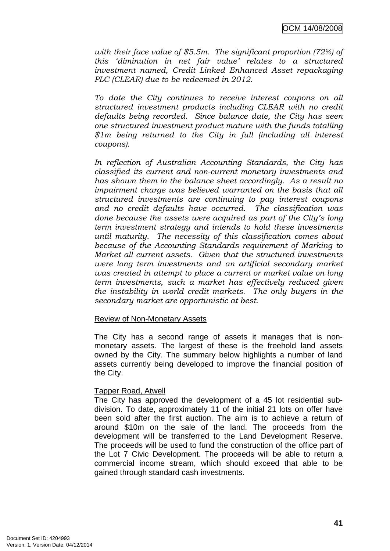*with their face value of \$5.5m. The significant proportion (72%) of this 'diminution in net fair value' relates to a structured investment named, Credit Linked Enhanced Asset repackaging PLC (CLEAR) due to be redeemed in 2012.* 

*To date the City continues to receive interest coupons on all structured investment products including CLEAR with no credit defaults being recorded. Since balance date, the City has seen one structured investment product mature with the funds totalling \$1m being returned to the City in full (including all interest coupons).* 

*In reflection of Australian Accounting Standards, the City has classified its current and non-current monetary investments and has shown them in the balance sheet accordingly. As a result no impairment charge was believed warranted on the basis that all structured investments are continuing to pay interest coupons and no credit defaults have occurred. The classification was done because the assets were acquired as part of the City's long term investment strategy and intends to hold these investments until maturity. The necessity of this classification comes about because of the Accounting Standards requirement of Marking to Market all current assets. Given that the structured investments were long term investments and an artificial secondary market was created in attempt to place a current or market value on long term investments, such a market has effectively reduced given the instability in world credit markets. The only buyers in the secondary market are opportunistic at best.*

### Review of Non-Monetary Assets

The City has a second range of assets it manages that is nonmonetary assets. The largest of these is the freehold land assets owned by the City. The summary below highlights a number of land assets currently being developed to improve the financial position of the City.

### Tapper Road, Atwell

The City has approved the development of a 45 lot residential subdivision. To date, approximately 11 of the initial 21 lots on offer have been sold after the first auction. The aim is to achieve a return of around \$10m on the sale of the land. The proceeds from the development will be transferred to the Land Development Reserve. The proceeds will be used to fund the construction of the office part of the Lot 7 Civic Development. The proceeds will be able to return a commercial income stream, which should exceed that able to be gained through standard cash investments.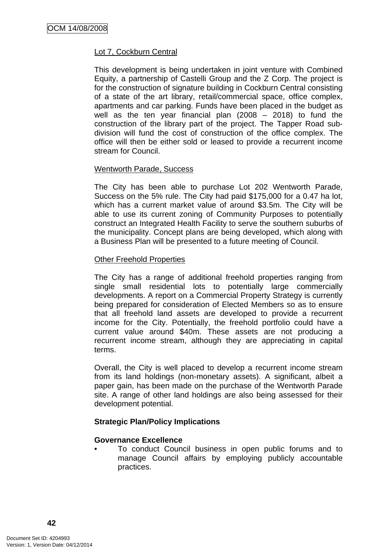## Lot 7, Cockburn Central

This development is being undertaken in joint venture with Combined Equity, a partnership of Castelli Group and the Z Corp. The project is for the construction of signature building in Cockburn Central consisting of a state of the art library, retail/commercial space, office complex, apartments and car parking. Funds have been placed in the budget as well as the ten year financial plan (2008 – 2018) to fund the construction of the library part of the project. The Tapper Road subdivision will fund the cost of construction of the office complex. The office will then be either sold or leased to provide a recurrent income stream for Council.

### Wentworth Parade, Success

The City has been able to purchase Lot 202 Wentworth Parade, Success on the 5% rule. The City had paid \$175,000 for a 0.47 ha lot, which has a current market value of around \$3.5m. The City will be able to use its current zoning of Community Purposes to potentially construct an Integrated Health Facility to serve the southern suburbs of the municipality. Concept plans are being developed, which along with a Business Plan will be presented to a future meeting of Council.

#### Other Freehold Properties

The City has a range of additional freehold properties ranging from single small residential lots to potentially large commercially developments. A report on a Commercial Property Strategy is currently being prepared for consideration of Elected Members so as to ensure that all freehold land assets are developed to provide a recurrent income for the City. Potentially, the freehold portfolio could have a current value around \$40m. These assets are not producing a recurrent income stream, although they are appreciating in capital terms.

Overall, the City is well placed to develop a recurrent income stream from its land holdings (non-monetary assets). A significant, albeit a paper gain, has been made on the purchase of the Wentworth Parade site. A range of other land holdings are also being assessed for their development potential.

### **Strategic Plan/Policy Implications**

### **Governance Excellence**

• To conduct Council business in open public forums and to manage Council affairs by employing publicly accountable practices.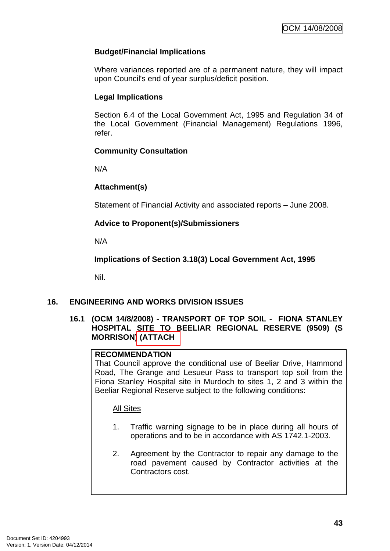# **Budget/Financial Implications**

Where variances reported are of a permanent nature, they will impact upon Council's end of year surplus/deficit position.

# **Legal Implications**

Section 6.4 of the Local Government Act, 1995 and Regulation 34 of the Local Government (Financial Management) Regulations 1996, refer.

# **Community Consultation**

N/A

# **Attachment(s)**

Statement of Financial Activity and associated reports – June 2008.

# **Advice to Proponent(s)/Submissioners**

N/A

**Implications of Section 3.18(3) Local Government Act, 1995**

Nil.

# **16. ENGINEERING AND WORKS DIVISION ISSUES**

## **16.1 (OCM 14/8/2008) - TRANSPORT OF TOP SOIL - FIONA STANLEY HOSPITAL SITE TO BEELIAR REGIONAL RESERVE (9509) (S MORRISON) (ATTACH**

## **RECOMMENDATION**

That Council approve the conditional use of Beeliar Drive, Hammond Road, The Grange and Lesueur Pass to transport top soil from the Fiona Stanley Hospital site in Murdoch to sites 1, 2 and 3 within the Beeliar Regional Reserve subject to the following conditions:

# All Sites

- 1. Traffic warning signage to be in place during all hours of operations and to be in accordance with AS 1742.1-2003.
- 2. Agreement by the Contractor to repair any damage to the road pavement caused by Contractor activities at the Contractors cost.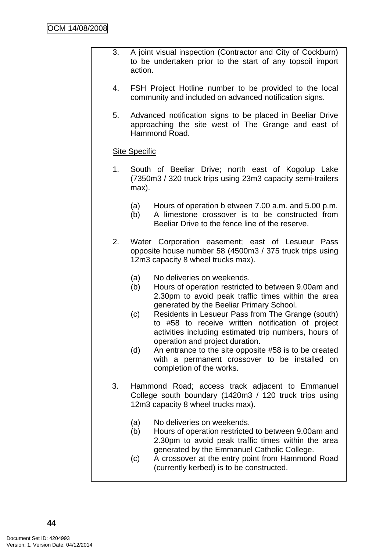- 3. A joint visual inspection (Contractor and City of Cockburn) to be undertaken prior to the start of any topsoil import action.
- 4. FSH Project Hotline number to be provided to the local community and included on advanced notification signs.
- 5. Advanced notification signs to be placed in Beeliar Drive approaching the site west of The Grange and east of Hammond Road.

## Site Specific

- 1. South of Beeliar Drive; north east of Kogolup Lake (7350m3 / 320 truck trips using 23m3 capacity semi-trailers max).
	- (a) Hours of operation b etween 7.00 a.m. and 5.00 p.m.
	- (b) A limestone crossover is to be constructed from
	- Beeliar Drive to the fence line of the reserve.
- 2. Water Corporation easement; east of Lesueur Pass opposite house number 58 (4500m3 / 375 truck trips using 12m3 capacity 8 wheel trucks max).
	- (a) No deliveries on weekends.
	- (b) Hours of operation restricted to between 9.00am and 2.30pm to avoid peak traffic times within the area generated by the Beeliar Primary School.
	- (c) Residents in Lesueur Pass from The Grange (south) to #58 to receive written notification of project activities including estimated trip numbers, hours of operation and project duration.
	- (d) An entrance to the site opposite #58 is to be created with a permanent crossover to be installed on completion of the works.
- 3. Hammond Road; access track adjacent to Emmanuel College south boundary (1420m3 / 120 truck trips using 12m3 capacity 8 wheel trucks max).
	- (a) No deliveries on weekends.
	- (b) Hours of operation restricted to between 9.00am and 2.30pm to avoid peak traffic times within the area generated by the Emmanuel Catholic College.
	- (c) A crossover at the entry point from Hammond Road (currently kerbed) is to be constructed.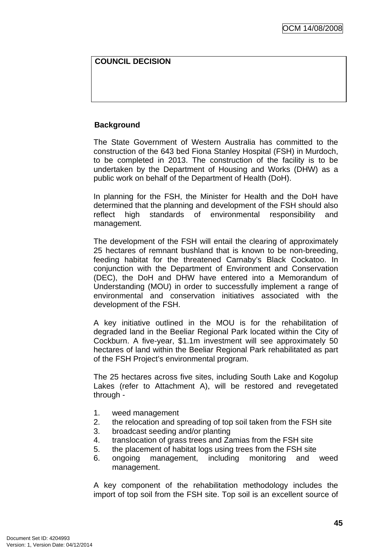# **COUNCIL DECISION**

### **Background**

The State Government of Western Australia has committed to the construction of the 643 bed Fiona Stanley Hospital (FSH) in Murdoch, to be completed in 2013. The construction of the facility is to be undertaken by the Department of Housing and Works (DHW) as a public work on behalf of the Department of Health (DoH).

In planning for the FSH, the Minister for Health and the DoH have determined that the planning and development of the FSH should also reflect high standards of environmental responsibility and management.

The development of the FSH will entail the clearing of approximately 25 hectares of remnant bushland that is known to be non-breeding, feeding habitat for the threatened Carnaby's Black Cockatoo. In conjunction with the Department of Environment and Conservation (DEC), the DoH and DHW have entered into a Memorandum of Understanding (MOU) in order to successfully implement a range of environmental and conservation initiatives associated with the development of the FSH.

A key initiative outlined in the MOU is for the rehabilitation of degraded land in the Beeliar Regional Park located within the City of Cockburn. A five-year, \$1.1m investment will see approximately 50 hectares of land within the Beeliar Regional Park rehabilitated as part of the FSH Project's environmental program.

The 25 hectares across five sites, including South Lake and Kogolup Lakes (refer to Attachment A), will be restored and revegetated through -

- 1. weed management
- 2. the relocation and spreading of top soil taken from the FSH site
- 3. broadcast seeding and/or planting
- 4. translocation of grass trees and Zamias from the FSH site
- 5. the placement of habitat logs using trees from the FSH site
- 6. ongoing management, including monitoring and weed management.

A key component of the rehabilitation methodology includes the import of top soil from the FSH site. Top soil is an excellent source of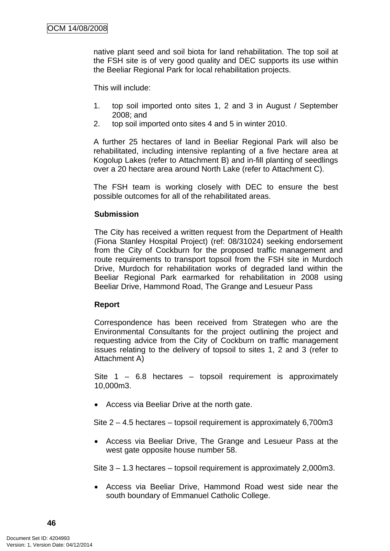native plant seed and soil biota for land rehabilitation. The top soil at the FSH site is of very good quality and DEC supports its use within the Beeliar Regional Park for local rehabilitation projects.

This will include:

- 1. top soil imported onto sites 1, 2 and 3 in August / September 2008; and
- 2. top soil imported onto sites 4 and 5 in winter 2010.

A further 25 hectares of land in Beeliar Regional Park will also be rehabilitated, including intensive replanting of a five hectare area at Kogolup Lakes (refer to Attachment B) and in-fill planting of seedlings over a 20 hectare area around North Lake (refer to Attachment C).

The FSH team is working closely with DEC to ensure the best possible outcomes for all of the rehabilitated areas.

#### **Submission**

The City has received a written request from the Department of Health (Fiona Stanley Hospital Project) (ref: 08/31024) seeking endorsement from the City of Cockburn for the proposed traffic management and route requirements to transport topsoil from the FSH site in Murdoch Drive, Murdoch for rehabilitation works of degraded land within the Beeliar Regional Park earmarked for rehabilitation in 2008 using Beeliar Drive, Hammond Road, The Grange and Lesueur Pass

#### **Report**

Correspondence has been received from Strategen who are the Environmental Consultants for the project outlining the project and requesting advice from the City of Cockburn on traffic management issues relating to the delivery of topsoil to sites 1, 2 and 3 (refer to Attachment A)

Site  $1 - 6.8$  hectares – topsoil requirement is approximately 10,000m3.

• Access via Beeliar Drive at the north gate.

Site 2 – 4.5 hectares – topsoil requirement is approximately 6,700m3

• Access via Beeliar Drive, The Grange and Lesueur Pass at the west gate opposite house number 58.

Site 3 – 1.3 hectares – topsoil requirement is approximately 2,000m3.

• Access via Beeliar Drive, Hammond Road west side near the south boundary of Emmanuel Catholic College.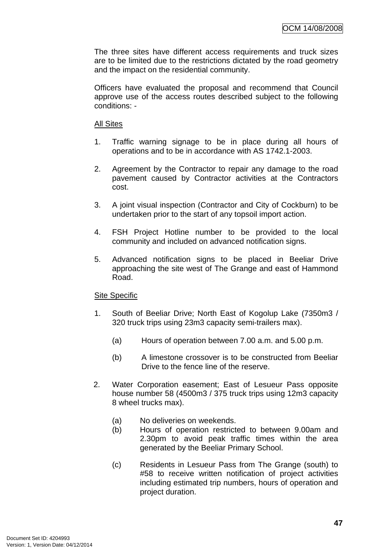The three sites have different access requirements and truck sizes are to be limited due to the restrictions dictated by the road geometry and the impact on the residential community.

Officers have evaluated the proposal and recommend that Council approve use of the access routes described subject to the following conditions: -

#### All Sites

- 1. Traffic warning signage to be in place during all hours of operations and to be in accordance with AS 1742.1-2003.
- 2. Agreement by the Contractor to repair any damage to the road pavement caused by Contractor activities at the Contractors cost.
- 3. A joint visual inspection (Contractor and City of Cockburn) to be undertaken prior to the start of any topsoil import action.
- 4. FSH Project Hotline number to be provided to the local community and included on advanced notification signs.
- 5. Advanced notification signs to be placed in Beeliar Drive approaching the site west of The Grange and east of Hammond Road.

# Site Specific

- 1. South of Beeliar Drive; North East of Kogolup Lake (7350m3 / 320 truck trips using 23m3 capacity semi-trailers max).
	- (a) Hours of operation between 7.00 a.m. and 5.00 p.m.
	- (b) A limestone crossover is to be constructed from Beeliar Drive to the fence line of the reserve.
- 2. Water Corporation easement; East of Lesueur Pass opposite house number 58 (4500m3 / 375 truck trips using 12m3 capacity 8 wheel trucks max).
	- (a) No deliveries on weekends.
	- (b) Hours of operation restricted to between 9.00am and 2.30pm to avoid peak traffic times within the area generated by the Beeliar Primary School.
	- (c) Residents in Lesueur Pass from The Grange (south) to #58 to receive written notification of project activities including estimated trip numbers, hours of operation and project duration.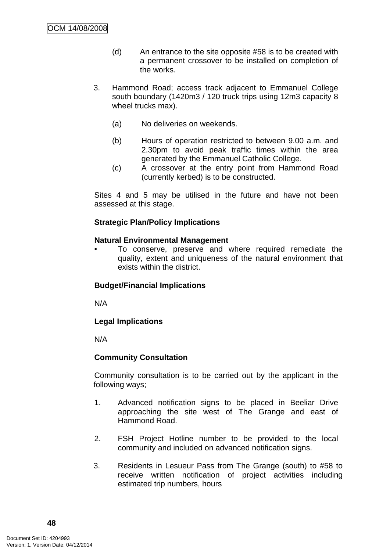- (d) An entrance to the site opposite #58 is to be created with a permanent crossover to be installed on completion of the works.
- 3. Hammond Road; access track adjacent to Emmanuel College south boundary (1420m3 / 120 truck trips using 12m3 capacity 8 wheel trucks max).
	- (a) No deliveries on weekends.
	- (b) Hours of operation restricted to between 9.00 a.m. and 2.30pm to avoid peak traffic times within the area generated by the Emmanuel Catholic College.
	- (c) A crossover at the entry point from Hammond Road (currently kerbed) is to be constructed.

Sites 4 and 5 may be utilised in the future and have not been assessed at this stage.

### **Strategic Plan/Policy Implications**

#### **Natural Environmental Management**

• To conserve, preserve and where required remediate the quality, extent and uniqueness of the natural environment that exists within the district.

### **Budget/Financial Implications**

N/A

### **Legal Implications**

N/A

### **Community Consultation**

Community consultation is to be carried out by the applicant in the following ways;

- 1. Advanced notification signs to be placed in Beeliar Drive approaching the site west of The Grange and east of Hammond Road.
- 2. FSH Project Hotline number to be provided to the local community and included on advanced notification signs.
- 3. Residents in Lesueur Pass from The Grange (south) to #58 to receive written notification of project activities including estimated trip numbers, hours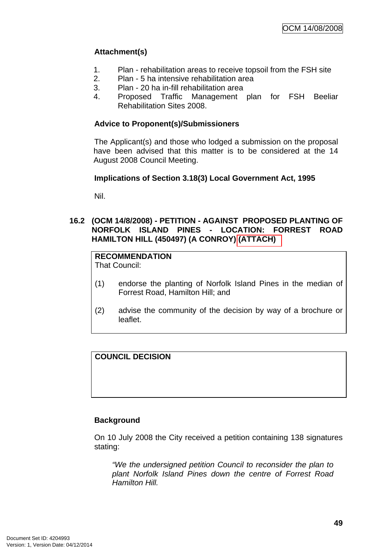# **Attachment(s)**

- 1. Plan rehabilitation areas to receive topsoil from the FSH site
- 2. Plan 5 ha intensive rehabilitation area
- 3. Plan 20 ha in-fill rehabilitation area
- 4. Proposed Traffic Management plan for FSH Beeliar Rehabilitation Sites 2008.

## **Advice to Proponent(s)/Submissioners**

The Applicant(s) and those who lodged a submission on the proposal have been advised that this matter is to be considered at the 14 August 2008 Council Meeting.

### **Implications of Section 3.18(3) Local Government Act, 1995**

Nil.

### **16.2 (OCM 14/8/2008) - PETITION - AGAINST PROPOSED PLANTING OF NORFOLK ISLAND PINES - LOCATION: FORREST ROAD HAMILTON HILL (450497) (A CONROY) (ATTACH)**

# **RECOMMENDATION**

That Council:

- (1) endorse the planting of Norfolk Island Pines in the median of Forrest Road, Hamilton Hill; and
- (2) advise the community of the decision by way of a brochure or leaflet.

**COUNCIL DECISION** 

### **Background**

On 10 July 2008 the City received a petition containing 138 signatures stating:

*"We the undersigned petition Council to reconsider the plan to plant Norfolk Island Pines down the centre of Forrest Road Hamilton Hill.*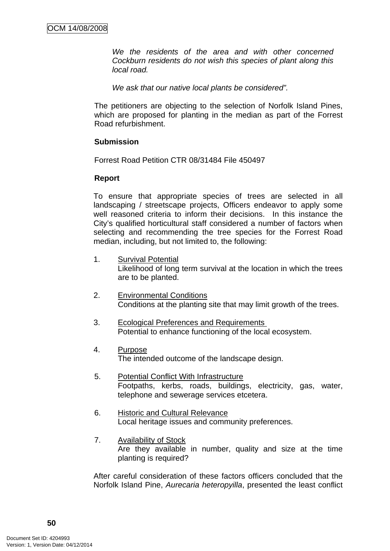*We the residents of the area and with other concerned Cockburn residents do not wish this species of plant along this local road.* 

*We ask that our native local plants be considered".* 

The petitioners are objecting to the selection of Norfolk Island Pines, which are proposed for planting in the median as part of the Forrest Road refurbishment.

#### **Submission**

Forrest Road Petition CTR 08/31484 File 450497

#### **Report**

To ensure that appropriate species of trees are selected in all landscaping / streetscape projects, Officers endeavor to apply some well reasoned criteria to inform their decisions. In this instance the City's qualified horticultural staff considered a number of factors when selecting and recommending the tree species for the Forrest Road median, including, but not limited to, the following:

- 1. Survival Potential Likelihood of long term survival at the location in which the trees are to be planted.
- 2. Environmental Conditions Conditions at the planting site that may limit growth of the trees.
- 3. Ecological Preferences and Requirements Potential to enhance functioning of the local ecosystem.
- 4. Purpose The intended outcome of the landscape design.
- 5. Potential Conflict With Infrastructure Footpaths, kerbs, roads, buildings, electricity, gas, water, telephone and sewerage services etcetera.
- 6. Historic and Cultural Relevance Local heritage issues and community preferences.
- 7. Availability of Stock Are they available in number, quality and size at the time planting is required?

After careful consideration of these factors officers concluded that the Norfolk Island Pine, *Aurecaria heteropyilla*, presented the least conflict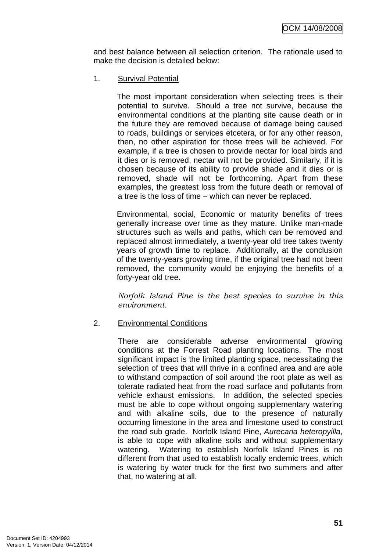and best balance between all selection criterion. The rationale used to make the decision is detailed below:

1. Survival Potential

The most important consideration when selecting trees is their potential to survive. Should a tree not survive, because the environmental conditions at the planting site cause death or in the future they are removed because of damage being caused to roads, buildings or services etcetera, or for any other reason, then, no other aspiration for those trees will be achieved. For example, if a tree is chosen to provide nectar for local birds and it dies or is removed, nectar will not be provided. Similarly, if it is chosen because of its ability to provide shade and it dies or is removed, shade will not be forthcoming. Apart from these examples, the greatest loss from the future death or removal of a tree is the loss of time – which can never be replaced.

Environmental, social, Economic or maturity benefits of trees generally increase over time as they mature. Unlike man-made structures such as walls and paths, which can be removed and replaced almost immediately, a twenty-year old tree takes twenty years of growth time to replace. Additionally, at the conclusion of the twenty-years growing time, if the original tree had not been removed, the community would be enjoying the benefits of a forty-year old tree.

*Norfolk Island Pine is the best species to survive in this environment.* 

2. Environmental Conditions

There are considerable adverse environmental growing conditions at the Forrest Road planting locations. The most significant impact is the limited planting space, necessitating the selection of trees that will thrive in a confined area and are able to withstand compaction of soil around the root plate as well as tolerate radiated heat from the road surface and pollutants from vehicle exhaust emissions. In addition, the selected species must be able to cope without ongoing supplementary watering and with alkaline soils, due to the presence of naturally occurring limestone in the area and limestone used to construct the road sub grade. Norfolk Island Pine, *Aurecaria heteropyilla*, is able to cope with alkaline soils and without supplementary watering. Watering to establish Norfolk Island Pines is no different from that used to establish locally endemic trees, which is watering by water truck for the first two summers and after that, no watering at all.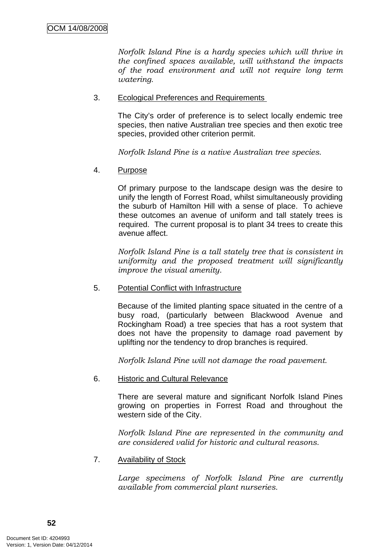*Norfolk Island Pine is a hardy species which will thrive in the confined spaces available, will withstand the impacts of the road environment and will not require long term watering.* 

#### 3. Ecological Preferences and Requirements

The City's order of preference is to select locally endemic tree species, then native Australian tree species and then exotic tree species, provided other criterion permit.

*Norfolk Island Pine is a native Australian tree species.* 

4. Purpose

Of primary purpose to the landscape design was the desire to unify the length of Forrest Road, whilst simultaneously providing the suburb of Hamilton Hill with a sense of place. To achieve these outcomes an avenue of uniform and tall stately trees is required. The current proposal is to plant 34 trees to create this avenue affect.

*Norfolk Island Pine is a tall stately tree that is consistent in uniformity and the proposed treatment will significantly improve the visual amenity.* 

5. Potential Conflict with Infrastructure

Because of the limited planting space situated in the centre of a busy road, (particularly between Blackwood Avenue and Rockingham Road) a tree species that has a root system that does not have the propensity to damage road pavement by uplifting nor the tendency to drop branches is required.

*Norfolk Island Pine will not damage the road pavement.* 

6. Historic and Cultural Relevance

There are several mature and significant Norfolk Island Pines growing on properties in Forrest Road and throughout the western side of the City.

*Norfolk Island Pine are represented in the community and are considered valid for historic and cultural reasons.* 

7. Availability of Stock

*Large specimens of Norfolk Island Pine are currently available from commercial plant nurseries.*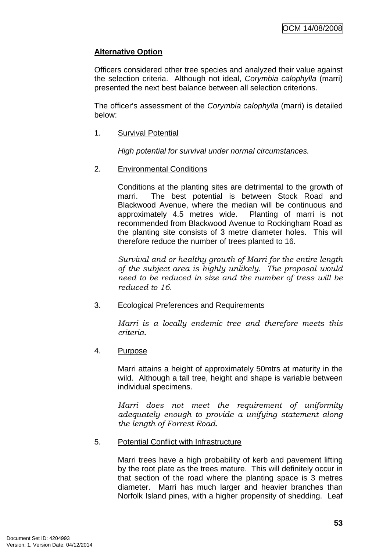# **Alternative Option**

Officers considered other tree species and analyzed their value against the selection criteria. Although not ideal, *Corymbia calophylla* (marri) presented the next best balance between all selection criterions.

The officer's assessment of the *Corymbia calophylla* (marri) is detailed below:

1. Survival Potential

*High potential for survival under normal circumstances.* 

2. Environmental Conditions

Conditions at the planting sites are detrimental to the growth of marri. The best potential is between Stock Road and Blackwood Avenue, where the median will be continuous and approximately 4.5 metres wide. Planting of marri is not recommended from Blackwood Avenue to Rockingham Road as the planting site consists of 3 metre diameter holes. This will therefore reduce the number of trees planted to 16.

*Survival and or healthy growth of Marri for the entire length of the subject area is highly unlikely. The proposal would need to be reduced in size and the number of tress will be reduced to 16.* 

#### 3. Ecological Preferences and Requirements

*Marri is a locally endemic tree and therefore meets this criteria.* 

4. Purpose

Marri attains a height of approximately 50mtrs at maturity in the wild. Although a tall tree, height and shape is variable between individual specimens.

*Marri does not meet the requirement of uniformity adequately enough to provide a unifying statement along the length of Forrest Road.* 

5. Potential Conflict with Infrastructure

Marri trees have a high probability of kerb and pavement lifting by the root plate as the trees mature. This will definitely occur in that section of the road where the planting space is 3 metres diameter. Marri has much larger and heavier branches than Norfolk Island pines, with a higher propensity of shedding. Leaf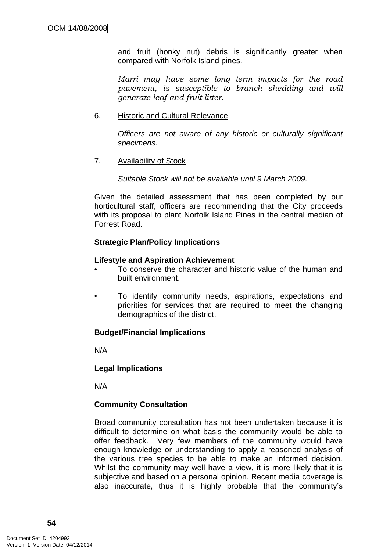and fruit (honky nut) debris is significantly greater when compared with Norfolk Island pines.

*Marri may have some long term impacts for the road pavement, is susceptible to branch shedding and will generate leaf and fruit litter.* 

#### 6. Historic and Cultural Relevance

*Officers are not aware of any historic or culturally significant specimens.* 

#### 7. Availability of Stock

*Suitable Stock will not be available until 9 March 2009.* 

Given the detailed assessment that has been completed by our horticultural staff, officers are recommending that the City proceeds with its proposal to plant Norfolk Island Pines in the central median of Forrest Road.

### **Strategic Plan/Policy Implications**

#### **Lifestyle and Aspiration Achievement**

- To conserve the character and historic value of the human and built environment.
- To identify community needs, aspirations, expectations and priorities for services that are required to meet the changing demographics of the district.

### **Budget/Financial Implications**

N/A

### **Legal Implications**

N/A

### **Community Consultation**

Broad community consultation has not been undertaken because it is difficult to determine on what basis the community would be able to offer feedback. Very few members of the community would have enough knowledge or understanding to apply a reasoned analysis of the various tree species to be able to make an informed decision. Whilst the community may well have a view, it is more likely that it is subjective and based on a personal opinion. Recent media coverage is also inaccurate, thus it is highly probable that the community's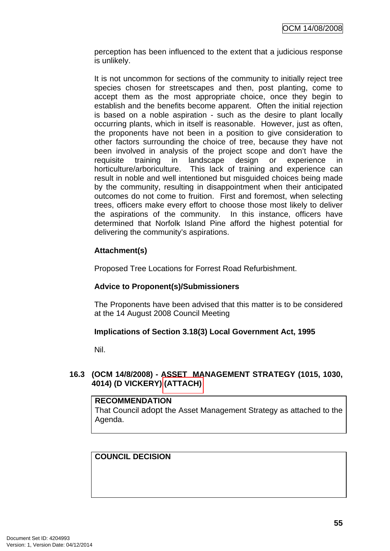perception has been influenced to the extent that a judicious response is unlikely.

It is not uncommon for sections of the community to initially reject tree species chosen for streetscapes and then, post planting, come to accept them as the most appropriate choice, once they begin to establish and the benefits become apparent. Often the initial rejection is based on a noble aspiration - such as the desire to plant locally occurring plants, which in itself is reasonable. However, just as often, the proponents have not been in a position to give consideration to other factors surrounding the choice of tree, because they have not been involved in analysis of the project scope and don't have the requisite training in landscape design or experience in horticulture/arboriculture. This lack of training and experience can result in noble and well intentioned but misguided choices being made by the community, resulting in disappointment when their anticipated outcomes do not come to fruition. First and foremost, when selecting trees, officers make every effort to choose those most likely to deliver the aspirations of the community. In this instance, officers have determined that Norfolk Island Pine afford the highest potential for delivering the community's aspirations.

# **Attachment(s)**

Proposed Tree Locations for Forrest Road Refurbishment.

# **Advice to Proponent(s)/Submissioners**

The Proponents have been advised that this matter is to be considered at the 14 August 2008 Council Meeting

# **Implications of Section 3.18(3) Local Government Act, 1995**

Nil.

## **16.3 (OCM 14/8/2008) - ASSET MANAGEMENT STRATEGY (1015, 1030, 4014) (D VICKERY) (ATTACH)**

**RECOMMENDATION**  That Council adopt the Asset Management Strategy as attached to the Agenda.

# **COUNCIL DECISION**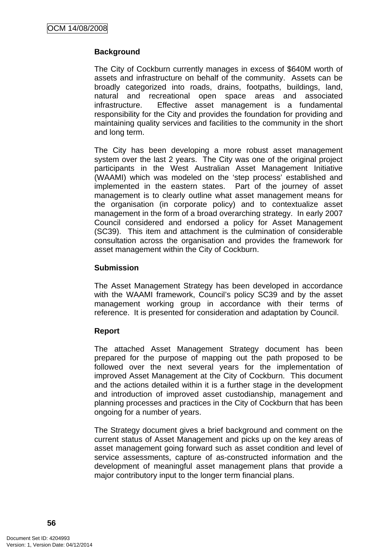# **Background**

The City of Cockburn currently manages in excess of \$640M worth of assets and infrastructure on behalf of the community. Assets can be broadly categorized into roads, drains, footpaths, buildings, land, natural and recreational open space areas and associated infrastructure. Effective asset management is a fundamental responsibility for the City and provides the foundation for providing and maintaining quality services and facilities to the community in the short and long term.

The City has been developing a more robust asset management system over the last 2 years. The City was one of the original project participants in the West Australian Asset Management Initiative (WAAMI) which was modeled on the 'step process' established and implemented in the eastern states. Part of the journey of asset management is to clearly outline what asset management means for the organisation (in corporate policy) and to contextualize asset management in the form of a broad overarching strategy. In early 2007 Council considered and endorsed a policy for Asset Management (SC39). This item and attachment is the culmination of considerable consultation across the organisation and provides the framework for asset management within the City of Cockburn.

### **Submission**

The Asset Management Strategy has been developed in accordance with the WAAMI framework, Council's policy SC39 and by the asset management working group in accordance with their terms of reference. It is presented for consideration and adaptation by Council.

### **Report**

The attached Asset Management Strategy document has been prepared for the purpose of mapping out the path proposed to be followed over the next several years for the implementation of improved Asset Management at the City of Cockburn. This document and the actions detailed within it is a further stage in the development and introduction of improved asset custodianship, management and planning processes and practices in the City of Cockburn that has been ongoing for a number of years.

The Strategy document gives a brief background and comment on the current status of Asset Management and picks up on the key areas of asset management going forward such as asset condition and level of service assessments, capture of as-constructed information and the development of meaningful asset management plans that provide a major contributory input to the longer term financial plans.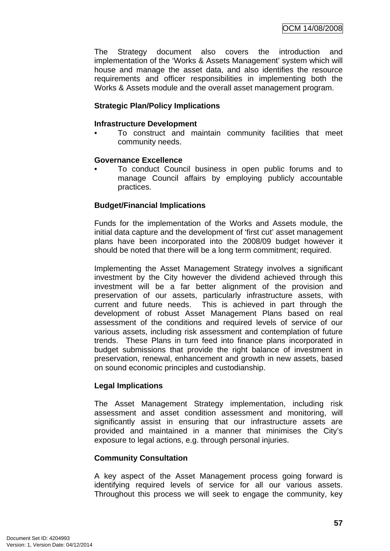The Strategy document also covers the introduction and implementation of the 'Works & Assets Management' system which will house and manage the asset data, and also identifies the resource requirements and officer responsibilities in implementing both the Works & Assets module and the overall asset management program.

### **Strategic Plan/Policy Implications**

#### **Infrastructure Development**

• To construct and maintain community facilities that meet community needs.

#### **Governance Excellence**

• To conduct Council business in open public forums and to manage Council affairs by employing publicly accountable practices.

## **Budget/Financial Implications**

Funds for the implementation of the Works and Assets module, the initial data capture and the development of 'first cut' asset management plans have been incorporated into the 2008/09 budget however it should be noted that there will be a long term commitment; required.

Implementing the Asset Management Strategy involves a significant investment by the City however the dividend achieved through this investment will be a far better alignment of the provision and preservation of our assets, particularly infrastructure assets, with current and future needs. This is achieved in part through the development of robust Asset Management Plans based on real assessment of the conditions and required levels of service of our various assets, including risk assessment and contemplation of future trends. These Plans in turn feed into finance plans incorporated in budget submissions that provide the right balance of investment in preservation, renewal, enhancement and growth in new assets, based on sound economic principles and custodianship.

### **Legal Implications**

The Asset Management Strategy implementation, including risk assessment and asset condition assessment and monitoring, will significantly assist in ensuring that our infrastructure assets are provided and maintained in a manner that minimises the City's exposure to legal actions, e.g. through personal injuries.

### **Community Consultation**

A key aspect of the Asset Management process going forward is identifying required levels of service for all our various assets. Throughout this process we will seek to engage the community, key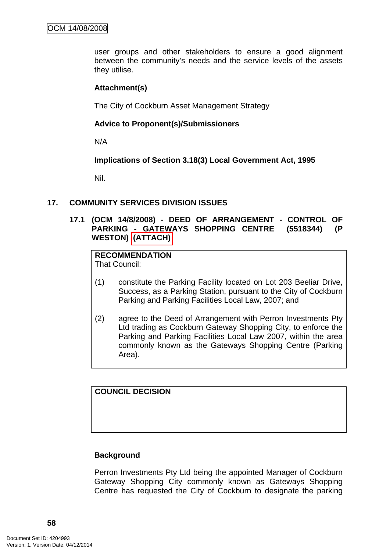user groups and other stakeholders to ensure a good alignment between the community's needs and the service levels of the assets they utilise.

#### **Attachment(s)**

The City of Cockburn Asset Management Strategy

#### **Advice to Proponent(s)/Submissioners**

N/A

**Implications of Section 3.18(3) Local Government Act, 1995**

Nil.

#### **17. COMMUNITY SERVICES DIVISION ISSUES**

### **17.1 (OCM 14/8/2008) - DEED OF ARRANGEMENT - CONTROL OF PARKING - GATEWAYS SHOPPING CENTRE (5518344) (P WESTON) (ATTACH)**

#### **RECOMMENDATION** That Council:

- (1) constitute the Parking Facility located on Lot 203 Beeliar Drive, Success, as a Parking Station, pursuant to the City of Cockburn Parking and Parking Facilities Local Law, 2007; and
- (2) agree to the Deed of Arrangement with Perron Investments Pty Ltd trading as Cockburn Gateway Shopping City, to enforce the Parking and Parking Facilities Local Law 2007, within the area commonly known as the Gateways Shopping Centre (Parking Area).

**COUNCIL DECISION** 

### **Background**

Perron Investments Pty Ltd being the appointed Manager of Cockburn Gateway Shopping City commonly known as Gateways Shopping Centre has requested the City of Cockburn to designate the parking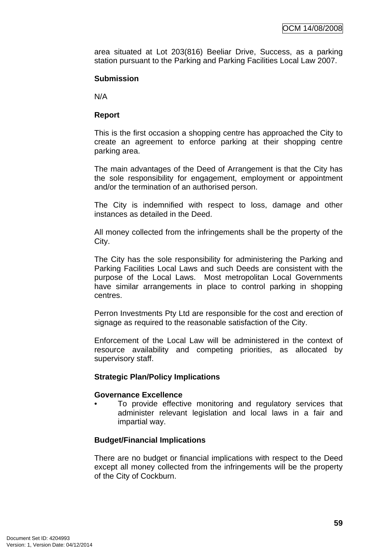area situated at Lot 203(816) Beeliar Drive, Success, as a parking station pursuant to the Parking and Parking Facilities Local Law 2007.

### **Submission**

N/A

### **Report**

This is the first occasion a shopping centre has approached the City to create an agreement to enforce parking at their shopping centre parking area.

The main advantages of the Deed of Arrangement is that the City has the sole responsibility for engagement, employment or appointment and/or the termination of an authorised person.

The City is indemnified with respect to loss, damage and other instances as detailed in the Deed.

All money collected from the infringements shall be the property of the City.

The City has the sole responsibility for administering the Parking and Parking Facilities Local Laws and such Deeds are consistent with the purpose of the Local Laws. Most metropolitan Local Governments have similar arrangements in place to control parking in shopping centres.

Perron Investments Pty Ltd are responsible for the cost and erection of signage as required to the reasonable satisfaction of the City.

Enforcement of the Local Law will be administered in the context of resource availability and competing priorities, as allocated by supervisory staff.

### **Strategic Plan/Policy Implications**

#### **Governance Excellence**

To provide effective monitoring and regulatory services that administer relevant legislation and local laws in a fair and impartial way.

### **Budget/Financial Implications**

There are no budget or financial implications with respect to the Deed except all money collected from the infringements will be the property of the City of Cockburn.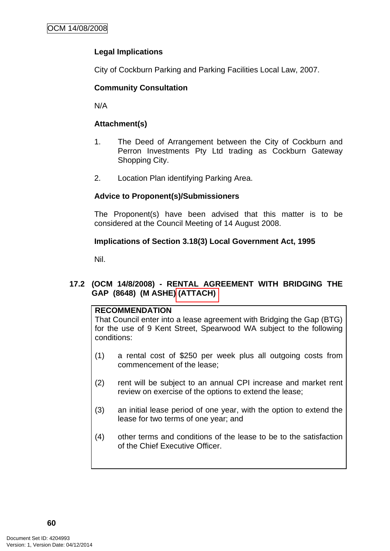# **Legal Implications**

City of Cockburn Parking and Parking Facilities Local Law, 2007.

## **Community Consultation**

N/A

## **Attachment(s)**

- 1. The Deed of Arrangement between the City of Cockburn and Perron Investments Pty Ltd trading as Cockburn Gateway Shopping City.
- 2. Location Plan identifying Parking Area.

## **Advice to Proponent(s)/Submissioners**

The Proponent(s) have been advised that this matter is to be considered at the Council Meeting of 14 August 2008.

## **Implications of Section 3.18(3) Local Government Act, 1995**

Nil.

## **17.2 (OCM 14/8/2008) - RENTAL AGREEMENT WITH BRIDGING THE GAP (8648) (M ASHE) (ATTACH)**

### **RECOMMENDATION**

That Council enter into a lease agreement with Bridging the Gap (BTG) for the use of 9 Kent Street, Spearwood WA subject to the following conditions:

- (1) a rental cost of \$250 per week plus all outgoing costs from commencement of the lease;
- (2) rent will be subject to an annual CPI increase and market rent review on exercise of the options to extend the lease;
- (3) an initial lease period of one year, with the option to extend the lease for two terms of one year; and
- (4) other terms and conditions of the lease to be to the satisfaction of the Chief Executive Officer.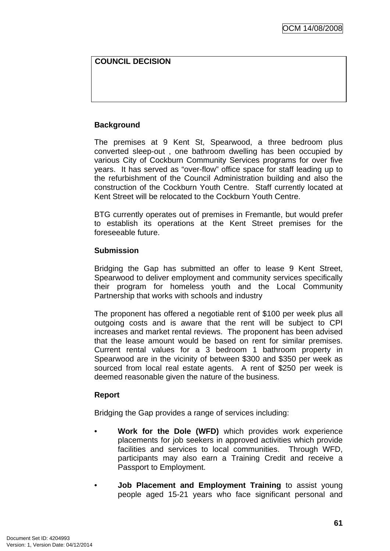## **COUNCIL DECISION**

### **Background**

The premises at 9 Kent St, Spearwood, a three bedroom plus converted sleep-out , one bathroom dwelling has been occupied by various City of Cockburn Community Services programs for over five years. It has served as "over-flow" office space for staff leading up to the refurbishment of the Council Administration building and also the construction of the Cockburn Youth Centre. Staff currently located at Kent Street will be relocated to the Cockburn Youth Centre.

BTG currently operates out of premises in Fremantle, but would prefer to establish its operations at the Kent Street premises for the foreseeable future.

#### **Submission**

Bridging the Gap has submitted an offer to lease 9 Kent Street, Spearwood to deliver employment and community services specifically their program for homeless youth and the Local Community Partnership that works with schools and industry

The proponent has offered a negotiable rent of \$100 per week plus all outgoing costs and is aware that the rent will be subject to CPI increases and market rental reviews. The proponent has been advised that the lease amount would be based on rent for similar premises. Current rental values for a 3 bedroom 1 bathroom property in Spearwood are in the vicinity of between \$300 and \$350 per week as sourced from local real estate agents. A rent of \$250 per week is deemed reasonable given the nature of the business.

### **Report**

Bridging the Gap provides a range of services including:

- **Work for the Dole (WFD)** which provides work experience placements for job seekers in approved activities which provide facilities and services to local communities. Through WFD, participants may also earn a Training Credit and receive a Passport to Employment.
- **Job Placement and Employment Training** to assist young people aged 15-21 years who face significant personal and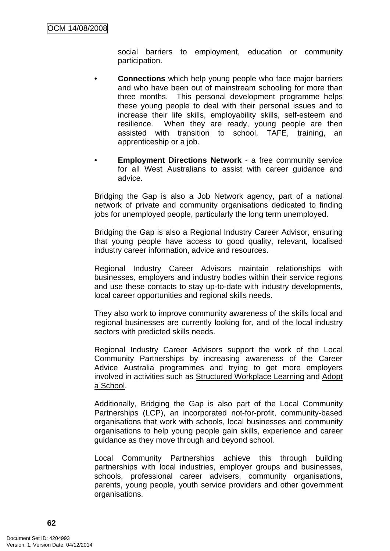social barriers to employment, education or community participation.

- **Connections** which help young people who face major barriers and who have been out of mainstream schooling for more than three months. This personal development programme helps these young people to deal with their personal issues and to increase their life skills, employability skills, self-esteem and resilience. When they are ready, young people are then assisted with transition to school, TAFE, training, an apprenticeship or a job.
- **Employment Directions Network** a free community service for all West Australians to assist with career guidance and advice.

Bridging the Gap is also a Job Network agency, part of a national network of private and community organisations dedicated to finding jobs for unemployed people, particularly the long term unemployed.

Bridging the Gap is also a Regional Industry Career Advisor, ensuring that young people have access to good quality, relevant, localised industry career information, advice and resources.

Regional Industry Career Advisors maintain relationships with businesses, employers and industry bodies within their service regions and use these contacts to stay up-to-date with industry developments, local career opportunities and regional skills needs.

They also work to improve community awareness of the skills local and regional businesses are currently looking for, and of the local industry sectors with predicted skills needs.

Regional Industry Career Advisors support the work of the Local Community Partnerships by increasing awareness of the Career Advice Australia programmes and trying to get more employers involved in activities such as Structured Workplace Learning and Adopt a School.

Additionally, Bridging the Gap is also part of the Local Community Partnerships (LCP), an incorporated not-for-profit, community-based organisations that work with schools, local businesses and community organisations to help young people gain skills, experience and career guidance as they move through and beyond school.

Local Community Partnerships achieve this through building partnerships with local industries, employer groups and businesses, schools, professional career advisers, community organisations, parents, young people, youth service providers and other government organisations.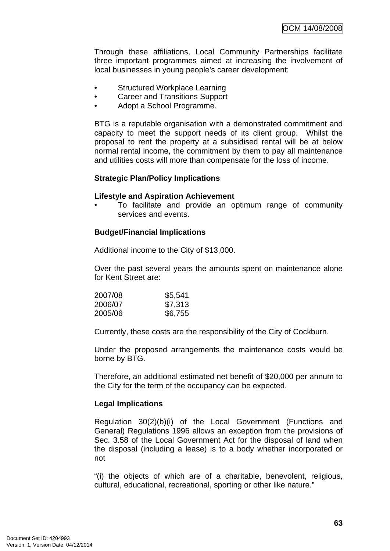Through these affiliations, Local Community Partnerships facilitate three important programmes aimed at increasing the involvement of local businesses in young people's career development:

- [Structured Workplace Learning](http://www.careeradviceaustralia.gov.au/industry/structured_workplace.htm)
- [Career and Transitions Support](http://www.careeradviceaustralia.gov.au/industry/career_transition_support.htm)
- [Adopt a School Programme](http://www.careeradviceaustralia.gov.au/industry/adopt_school.htm).

BTG is a reputable organisation with a demonstrated commitment and capacity to meet the support needs of its client group. Whilst the proposal to rent the property at a subsidised rental will be at below normal rental income, the commitment by them to pay all maintenance and utilities costs will more than compensate for the loss of income.

### **Strategic Plan/Policy Implications**

#### **Lifestyle and Aspiration Achievement**

• To facilitate and provide an optimum range of community services and events.

### **Budget/Financial Implications**

Additional income to the City of \$13,000.

Over the past several years the amounts spent on maintenance alone for Kent Street are:

| 2007/08 | \$5,541 |
|---------|---------|
| 2006/07 | \$7,313 |
| 2005/06 | \$6,755 |

Currently, these costs are the responsibility of the City of Cockburn.

Under the proposed arrangements the maintenance costs would be borne by BTG.

Therefore, an additional estimated net benefit of \$20,000 per annum to the City for the term of the occupancy can be expected.

### **Legal Implications**

Regulation 30(2)(b)(i) of the Local Government (Functions and General) Regulations 1996 allows an exception from the provisions of Sec. 3.58 of the Local Government Act for the disposal of land when the disposal (including a lease) is to a body whether incorporated or not

"(i) the objects of which are of a charitable, benevolent, religious, cultural, educational, recreational, sporting or other like nature."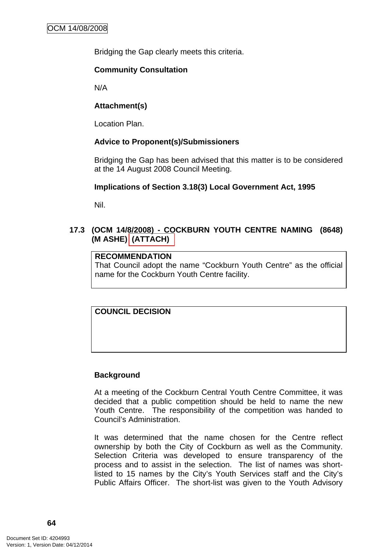Bridging the Gap clearly meets this criteria.

### **Community Consultation**

N/A

# **Attachment(s)**

Location Plan.

# **Advice to Proponent(s)/Submissioners**

Bridging the Gap has been advised that this matter is to be considered at the 14 August 2008 Council Meeting.

## **Implications of Section 3.18(3) Local Government Act, 1995**

Nil.

# **17.3 (OCM 14/8/2008) - COCKBURN YOUTH CENTRE NAMING (8648) (M ASHE) (ATTACH)**

# **RECOMMENDATION**

That Council adopt the name "Cockburn Youth Centre" as the official name for the Cockburn Youth Centre facility.

# **COUNCIL DECISION**

### **Background**

At a meeting of the Cockburn Central Youth Centre Committee, it was decided that a public competition should be held to name the new Youth Centre. The responsibility of the competition was handed to Council's Administration.

It was determined that the name chosen for the Centre reflect ownership by both the City of Cockburn as well as the Community. Selection Criteria was developed to ensure transparency of the process and to assist in the selection. The list of names was shortlisted to 15 names by the City's Youth Services staff and the City's Public Affairs Officer. The short-list was given to the Youth Advisory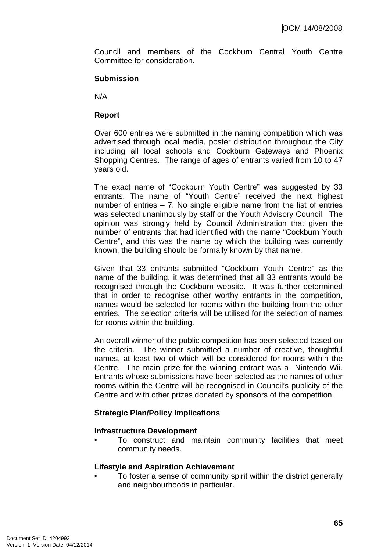Council and members of the Cockburn Central Youth Centre Committee for consideration.

### **Submission**

N/A

## **Report**

Over 600 entries were submitted in the naming competition which was advertised through local media, poster distribution throughout the City including all local schools and Cockburn Gateways and Phoenix Shopping Centres. The range of ages of entrants varied from 10 to 47 years old.

The exact name of "Cockburn Youth Centre" was suggested by 33 entrants. The name of "Youth Centre" received the next highest number of entries  $-7$ . No single eligible name from the list of entries was selected unanimously by staff or the Youth Advisory Council. The opinion was strongly held by Council Administration that given the number of entrants that had identified with the name "Cockburn Youth Centre", and this was the name by which the building was currently known, the building should be formally known by that name.

Given that 33 entrants submitted "Cockburn Youth Centre" as the name of the building, it was determined that all 33 entrants would be recognised through the Cockburn website. It was further determined that in order to recognise other worthy entrants in the competition, names would be selected for rooms within the building from the other entries. The selection criteria will be utilised for the selection of names for rooms within the building.

An overall winner of the public competition has been selected based on the criteria. The winner submitted a number of creative, thoughtful names, at least two of which will be considered for rooms within the Centre. The main prize for the winning entrant was a Nintendo Wii. Entrants whose submissions have been selected as the names of other rooms within the Centre will be recognised in Council's publicity of the Centre and with other prizes donated by sponsors of the competition.

### **Strategic Plan/Policy Implications**

### **Infrastructure Development**

• To construct and maintain community facilities that meet community needs.

### **Lifestyle and Aspiration Achievement**

• To foster a sense of community spirit within the district generally and neighbourhoods in particular.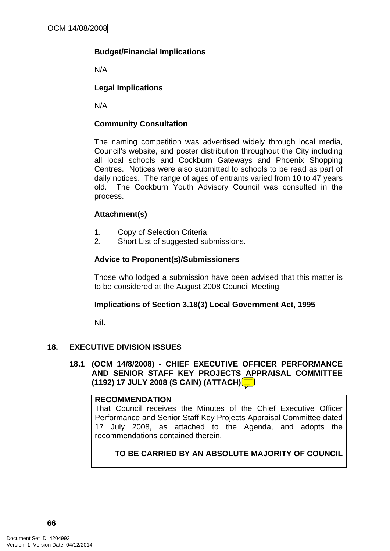# **Budget/Financial Implications**

N/A

# **Legal Implications**

N/A

## **Community Consultation**

The naming competition was advertised widely through local media, Council's website, and poster distribution throughout the City including all local schools and Cockburn Gateways and Phoenix Shopping Centres. Notices were also submitted to schools to be read as part of daily notices. The range of ages of entrants varied from 10 to 47 years old. The Cockburn Youth Advisory Council was consulted in the process.

## **Attachment(s)**

- 1. Copy of Selection Criteria.
- 2. Short List of suggested submissions.

## **Advice to Proponent(s)/Submissioners**

Those who lodged a submission have been advised that this matter is to be considered at the August 2008 Council Meeting.

### **Implications of Section 3.18(3) Local Government Act, 1995**

Nil.

# **18. EXECUTIVE DIVISION ISSUES**

**18.1 (OCM 14/8/2008) - CHIEF EXECUTIVE OFFICER PERFORMANCE AND SENIOR STAFF KEY PROJECTS APPRAISAL COMMITTEE (1192) 17 JULY 2008 (S CAIN) (ATTACH)** 

### **RECOMMENDATION**

That Council receives the Minutes of the Chief Executive Officer Performance and Senior Staff Key Projects Appraisal Committee dated 17 July 2008, as attached to the Agenda, and adopts the recommendations contained therein.

# **TO BE CARRIED BY AN ABSOLUTE MAJORITY OF COUNCIL**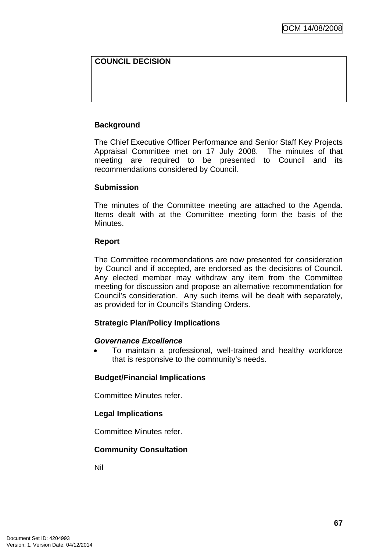# **COUNCIL DECISION**

## **Background**

The Chief Executive Officer Performance and Senior Staff Key Projects Appraisal Committee met on 17 July 2008. The minutes of that meeting are required to be presented to Council and its recommendations considered by Council.

### **Submission**

The minutes of the Committee meeting are attached to the Agenda. Items dealt with at the Committee meeting form the basis of the Minutes.

#### **Report**

The Committee recommendations are now presented for consideration by Council and if accepted, are endorsed as the decisions of Council. Any elected member may withdraw any item from the Committee meeting for discussion and propose an alternative recommendation for Council's consideration. Any such items will be dealt with separately, as provided for in Council's Standing Orders.

### **Strategic Plan/Policy Implications**

### *Governance Excellence*

• To maintain a professional, well-trained and healthy workforce that is responsive to the community's needs.

### **Budget/Financial Implications**

Committee Minutes refer.

### **Legal Implications**

Committee Minutes refer.

### **Community Consultation**

Nil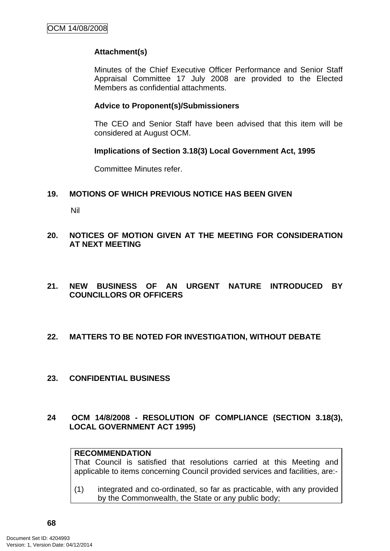## **Attachment(s)**

Minutes of the Chief Executive Officer Performance and Senior Staff Appraisal Committee 17 July 2008 are provided to the Elected Members as confidential attachments.

#### **Advice to Proponent(s)/Submissioners**

The CEO and Senior Staff have been advised that this item will be considered at August OCM.

#### **Implications of Section 3.18(3) Local Government Act, 1995**

Committee Minutes refer.

### **19. MOTIONS OF WHICH PREVIOUS NOTICE HAS BEEN GIVEN**

Nil

### **20. NOTICES OF MOTION GIVEN AT THE MEETING FOR CONSIDERATION AT NEXT MEETING**

**21. NEW BUSINESS OF AN URGENT NATURE INTRODUCED BY COUNCILLORS OR OFFICERS** 

### **22. MATTERS TO BE NOTED FOR INVESTIGATION, WITHOUT DEBATE**

**23. CONFIDENTIAL BUSINESS** 

### **24 OCM 14/8/2008 - RESOLUTION OF COMPLIANCE (SECTION 3.18(3), LOCAL GOVERNMENT ACT 1995)**

### **RECOMMENDATION**

That Council is satisfied that resolutions carried at this Meeting and applicable to items concerning Council provided services and facilities, are:-

(1) integrated and co-ordinated, so far as practicable, with any provided by the Commonwealth, the State or any public body;